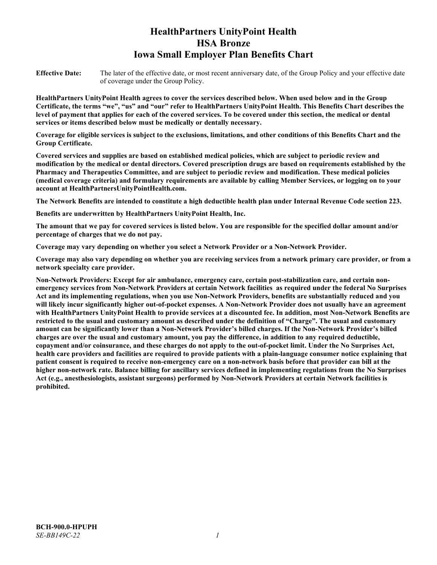# **HealthPartners UnityPoint Health HSA Bronze Iowa Small Employer Plan Benefits Chart**

**Effective Date:** The later of the effective date, or most recent anniversary date, of the Group Policy and your effective date of coverage under the Group Policy.

**HealthPartners UnityPoint Health agrees to cover the services described below. When used below and in the Group Certificate, the terms "we", "us" and "our" refer to HealthPartners UnityPoint Health. This Benefits Chart describes the level of payment that applies for each of the covered services. To be covered under this section, the medical or dental services or items described below must be medically or dentally necessary.**

**Coverage for eligible services is subject to the exclusions, limitations, and other conditions of this Benefits Chart and the Group Certificate.** 

**Covered services and supplies are based on established medical policies, which are subject to periodic review and modification by the medical or dental directors. Covered prescription drugs are based on requirements established by the Pharmacy and Therapeutics Committee, and are subject to periodic review and modification. These medical policies (medical coverage criteria) and formulary requirements are available by calling Member Services, or logging on to your account at [HealthPartnersUnityPointHealth.com.](https://www.healthpartnersunitypointhealth.com/)**

**The Network Benefits are intended to constitute a high deductible health plan under Internal Revenue Code section 223.**

**Benefits are underwritten by HealthPartners UnityPoint Health, Inc.**

**The amount that we pay for covered services is listed below. You are responsible for the specified dollar amount and/or percentage of charges that we do not pay.**

**Coverage may vary depending on whether you select a Network Provider or a Non-Network Provider.**

**Coverage may also vary depending on whether you are receiving services from a network primary care provider, or from a network specialty care provider.**

**Non-Network Providers: Except for air ambulance, emergency care, certain post-stabilization care, and certain nonemergency services from Non-Network Providers at certain Network facilities as required under the federal No Surprises Act and its implementing regulations, when you use Non-Network Providers, benefits are substantially reduced and you will likely incur significantly higher out-of-pocket expenses. A Non-Network Provider does not usually have an agreement with HealthPartners UnityPoint Health to provide services at a discounted fee. In addition, most Non-Network Benefits are restricted to the usual and customary amount as described under the definition of "Charge". The usual and customary amount can be significantly lower than a Non-Network Provider's billed charges. If the Non-Network Provider's billed charges are over the usual and customary amount, you pay the difference, in addition to any required deductible, copayment and/or coinsurance, and these charges do not apply to the out-of-pocket limit. Under the No Surprises Act, health care providers and facilities are required to provide patients with a plain-language consumer notice explaining that patient consent is required to receive non-emergency care on a non-network basis before that provider can bill at the higher non-network rate. Balance billing for ancillary services defined in implementing regulations from the No Surprises Act (e.g., anesthesiologists, assistant surgeons) performed by Non-Network Providers at certain Network facilities is prohibited.**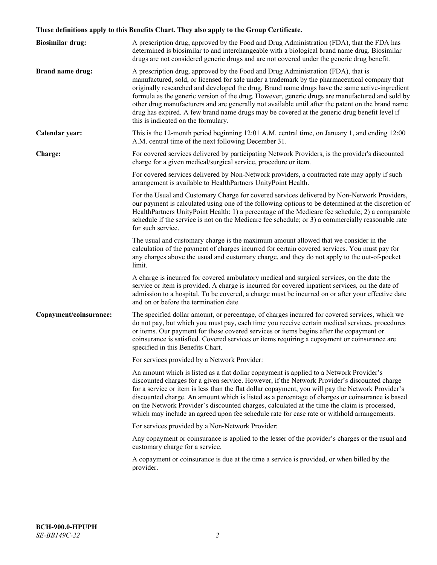# **These definitions apply to this Benefits Chart. They also apply to the Group Certificate.**

| <b>Biosimilar drug:</b> | A prescription drug, approved by the Food and Drug Administration (FDA), that the FDA has<br>determined is biosimilar to and interchangeable with a biological brand name drug. Biosimilar<br>drugs are not considered generic drugs and are not covered under the generic drug benefit.                                                                                                                                                                                                                                                                                                                                           |
|-------------------------|------------------------------------------------------------------------------------------------------------------------------------------------------------------------------------------------------------------------------------------------------------------------------------------------------------------------------------------------------------------------------------------------------------------------------------------------------------------------------------------------------------------------------------------------------------------------------------------------------------------------------------|
| <b>Brand name drug:</b> | A prescription drug, approved by the Food and Drug Administration (FDA), that is<br>manufactured, sold, or licensed for sale under a trademark by the pharmaceutical company that<br>originally researched and developed the drug. Brand name drugs have the same active-ingredient<br>formula as the generic version of the drug. However, generic drugs are manufactured and sold by<br>other drug manufacturers and are generally not available until after the patent on the brand name<br>drug has expired. A few brand name drugs may be covered at the generic drug benefit level if<br>this is indicated on the formulary. |
| Calendar year:          | This is the 12-month period beginning 12:01 A.M. central time, on January 1, and ending 12:00<br>A.M. central time of the next following December 31.                                                                                                                                                                                                                                                                                                                                                                                                                                                                              |
| Charge:                 | For covered services delivered by participating Network Providers, is the provider's discounted<br>charge for a given medical/surgical service, procedure or item.                                                                                                                                                                                                                                                                                                                                                                                                                                                                 |
|                         | For covered services delivered by Non-Network providers, a contracted rate may apply if such<br>arrangement is available to HealthPartners UnityPoint Health.                                                                                                                                                                                                                                                                                                                                                                                                                                                                      |
|                         | For the Usual and Customary Charge for covered services delivered by Non-Network Providers,<br>our payment is calculated using one of the following options to be determined at the discretion of<br>HealthPartners UnityPoint Health: 1) a percentage of the Medicare fee schedule; 2) a comparable<br>schedule if the service is not on the Medicare fee schedule; or 3) a commercially reasonable rate<br>for such service.                                                                                                                                                                                                     |
|                         | The usual and customary charge is the maximum amount allowed that we consider in the<br>calculation of the payment of charges incurred for certain covered services. You must pay for<br>any charges above the usual and customary charge, and they do not apply to the out-of-pocket<br>limit.                                                                                                                                                                                                                                                                                                                                    |
|                         | A charge is incurred for covered ambulatory medical and surgical services, on the date the<br>service or item is provided. A charge is incurred for covered inpatient services, on the date of<br>admission to a hospital. To be covered, a charge must be incurred on or after your effective date<br>and on or before the termination date.                                                                                                                                                                                                                                                                                      |
| Copayment/coinsurance:  | The specified dollar amount, or percentage, of charges incurred for covered services, which we<br>do not pay, but which you must pay, each time you receive certain medical services, procedures<br>or items. Our payment for those covered services or items begins after the copayment or<br>coinsurance is satisfied. Covered services or items requiring a copayment or coinsurance are<br>specified in this Benefits Chart.                                                                                                                                                                                                   |
|                         | For services provided by a Network Provider:                                                                                                                                                                                                                                                                                                                                                                                                                                                                                                                                                                                       |
|                         | An amount which is listed as a flat dollar copayment is applied to a Network Provider's<br>discounted charges for a given service. However, if the Network Provider's discounted charge<br>for a service or item is less than the flat dollar copayment, you will pay the Network Provider's<br>discounted charge. An amount which is listed as a percentage of charges or coinsurance is based<br>on the Network Provider's discounted charges, calculated at the time the claim is processed,<br>which may include an agreed upon fee schedule rate for case rate or withhold arrangements.                                      |
|                         | For services provided by a Non-Network Provider:                                                                                                                                                                                                                                                                                                                                                                                                                                                                                                                                                                                   |
|                         | Any copayment or coinsurance is applied to the lesser of the provider's charges or the usual and<br>customary charge for a service.                                                                                                                                                                                                                                                                                                                                                                                                                                                                                                |
|                         | A copayment or coinsurance is due at the time a service is provided, or when billed by the<br>provider.                                                                                                                                                                                                                                                                                                                                                                                                                                                                                                                            |
|                         |                                                                                                                                                                                                                                                                                                                                                                                                                                                                                                                                                                                                                                    |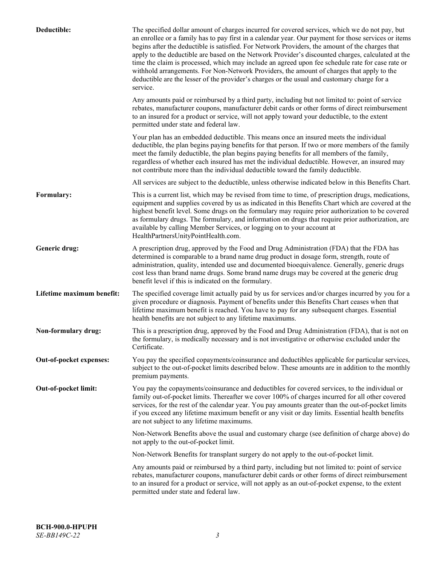| Deductible:               | The specified dollar amount of charges incurred for covered services, which we do not pay, but<br>an enrollee or a family has to pay first in a calendar year. Our payment for those services or items<br>begins after the deductible is satisfied. For Network Providers, the amount of the charges that<br>apply to the deductible are based on the Network Provider's discounted charges, calculated at the<br>time the claim is processed, which may include an agreed upon fee schedule rate for case rate or<br>withhold arrangements. For Non-Network Providers, the amount of charges that apply to the<br>deductible are the lesser of the provider's charges or the usual and customary charge for a<br>service. |
|---------------------------|----------------------------------------------------------------------------------------------------------------------------------------------------------------------------------------------------------------------------------------------------------------------------------------------------------------------------------------------------------------------------------------------------------------------------------------------------------------------------------------------------------------------------------------------------------------------------------------------------------------------------------------------------------------------------------------------------------------------------|
|                           | Any amounts paid or reimbursed by a third party, including but not limited to: point of service<br>rebates, manufacturer coupons, manufacturer debit cards or other forms of direct reimbursement<br>to an insured for a product or service, will not apply toward your deductible, to the extent<br>permitted under state and federal law.                                                                                                                                                                                                                                                                                                                                                                                |
|                           | Your plan has an embedded deductible. This means once an insured meets the individual<br>deductible, the plan begins paying benefits for that person. If two or more members of the family<br>meet the family deductible, the plan begins paying benefits for all members of the family,<br>regardless of whether each insured has met the individual deductible. However, an insured may<br>not contribute more than the individual deductible toward the family deductible.                                                                                                                                                                                                                                              |
|                           | All services are subject to the deductible, unless otherwise indicated below in this Benefits Chart.                                                                                                                                                                                                                                                                                                                                                                                                                                                                                                                                                                                                                       |
| Formulary:                | This is a current list, which may be revised from time to time, of prescription drugs, medications,<br>equipment and supplies covered by us as indicated in this Benefits Chart which are covered at the<br>highest benefit level. Some drugs on the formulary may require prior authorization to be covered<br>as formulary drugs. The formulary, and information on drugs that require prior authorization, are<br>available by calling Member Services, or logging on to your account at<br>HealthPartnersUnityPointHealth.com.                                                                                                                                                                                         |
| Generic drug:             | A prescription drug, approved by the Food and Drug Administration (FDA) that the FDA has<br>determined is comparable to a brand name drug product in dosage form, strength, route of<br>administration, quality, intended use and documented bioequivalence. Generally, generic drugs<br>cost less than brand name drugs. Some brand name drugs may be covered at the generic drug<br>benefit level if this is indicated on the formulary.                                                                                                                                                                                                                                                                                 |
| Lifetime maximum benefit: | The specified coverage limit actually paid by us for services and/or charges incurred by you for a<br>given procedure or diagnosis. Payment of benefits under this Benefits Chart ceases when that<br>lifetime maximum benefit is reached. You have to pay for any subsequent charges. Essential<br>health benefits are not subject to any lifetime maximums.                                                                                                                                                                                                                                                                                                                                                              |
| Non-formulary drug:       | This is a prescription drug, approved by the Food and Drug Administration (FDA), that is not on<br>the formulary, is medically necessary and is not investigative or otherwise excluded under the<br>Certificate.                                                                                                                                                                                                                                                                                                                                                                                                                                                                                                          |
| Out-of-pocket expenses:   | You pay the specified copayments/coinsurance and deductibles applicable for particular services,<br>subject to the out-of-pocket limits described below. These amounts are in addition to the monthly<br>premium payments.                                                                                                                                                                                                                                                                                                                                                                                                                                                                                                 |
| Out-of-pocket limit:      | You pay the copayments/coinsurance and deductibles for covered services, to the individual or<br>family out-of-pocket limits. Thereafter we cover 100% of charges incurred for all other covered<br>services, for the rest of the calendar year. You pay amounts greater than the out-of-pocket limits<br>if you exceed any lifetime maximum benefit or any visit or day limits. Essential health benefits<br>are not subject to any lifetime maximums.                                                                                                                                                                                                                                                                    |
|                           | Non-Network Benefits above the usual and customary charge (see definition of charge above) do<br>not apply to the out-of-pocket limit.                                                                                                                                                                                                                                                                                                                                                                                                                                                                                                                                                                                     |
|                           | Non-Network Benefits for transplant surgery do not apply to the out-of-pocket limit.                                                                                                                                                                                                                                                                                                                                                                                                                                                                                                                                                                                                                                       |
|                           | Any amounts paid or reimbursed by a third party, including but not limited to: point of service<br>rebates, manufacturer coupons, manufacturer debit cards or other forms of direct reimbursement<br>to an insured for a product or service, will not apply as an out-of-pocket expense, to the extent<br>permitted under state and federal law.                                                                                                                                                                                                                                                                                                                                                                           |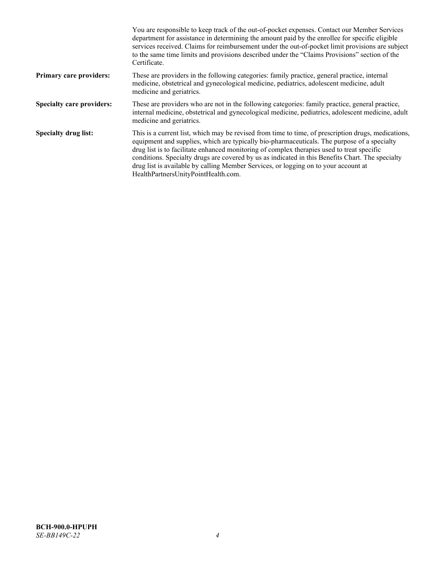|                                  | You are responsible to keep track of the out-of-pocket expenses. Contact our Member Services<br>department for assistance in determining the amount paid by the enrollee for specific eligible<br>services received. Claims for reimbursement under the out-of-pocket limit provisions are subject<br>to the same time limits and provisions described under the "Claims Provisions" section of the<br>Certificate.                                                                                                                |
|----------------------------------|------------------------------------------------------------------------------------------------------------------------------------------------------------------------------------------------------------------------------------------------------------------------------------------------------------------------------------------------------------------------------------------------------------------------------------------------------------------------------------------------------------------------------------|
| <b>Primary care providers:</b>   | These are providers in the following categories: family practice, general practice, internal<br>medicine, obstetrical and gynecological medicine, pediatrics, adolescent medicine, adult<br>medicine and geriatrics.                                                                                                                                                                                                                                                                                                               |
| <b>Specialty care providers:</b> | These are providers who are not in the following categories: family practice, general practice,<br>internal medicine, obstetrical and gynecological medicine, pediatrics, adolescent medicine, adult<br>medicine and geriatrics.                                                                                                                                                                                                                                                                                                   |
| <b>Specialty drug list:</b>      | This is a current list, which may be revised from time to time, of prescription drugs, medications,<br>equipment and supplies, which are typically bio-pharmaceuticals. The purpose of a specialty<br>drug list is to facilitate enhanced monitoring of complex therapies used to treat specific<br>conditions. Specialty drugs are covered by us as indicated in this Benefits Chart. The specialty<br>drug list is available by calling Member Services, or logging on to your account at<br>HealthPartnersUnityPointHealth.com. |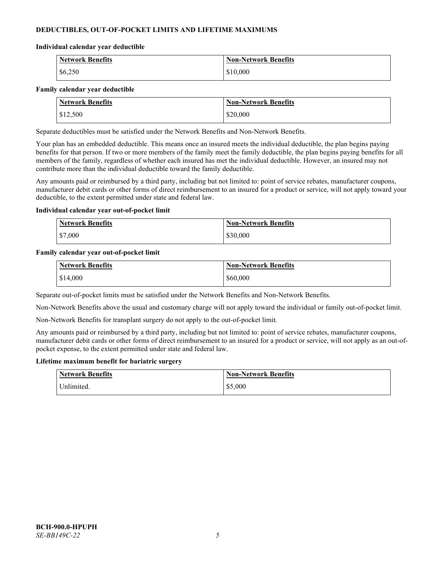# **DEDUCTIBLES, OUT-OF-POCKET LIMITS AND LIFETIME MAXIMUMS**

### **Individual calendar year deductible**

| <b>Network Benefits</b> | <b>Non-Network Benefits</b> |
|-------------------------|-----------------------------|
| \$6,250                 | \$10,000                    |

### **Family calendar year deductible**

| <b>Network Benefits</b> | <b>Non-Network Benefits</b> |
|-------------------------|-----------------------------|
| \$12,500                | \$20,000                    |

Separate deductibles must be satisfied under the Network Benefits and Non-Network Benefits.

Your plan has an embedded deductible. This means once an insured meets the individual deductible, the plan begins paying benefits for that person. If two or more members of the family meet the family deductible, the plan begins paying benefits for all members of the family, regardless of whether each insured has met the individual deductible. However, an insured may not contribute more than the individual deductible toward the family deductible.

Any amounts paid or reimbursed by a third party, including but not limited to: point of service rebates, manufacturer coupons, manufacturer debit cards or other forms of direct reimbursement to an insured for a product or service, will not apply toward your deductible, to the extent permitted under state and federal law.

### **Individual calendar year out-of-pocket limit**

| <b>Network Benefits</b> | <b>Non-Network Benefits</b> |
|-------------------------|-----------------------------|
| \$7,000                 | \$30,000                    |

### **Family calendar year out-of-pocket limit**

| <b>Network Benefits</b> | <b>Non-Network Benefits</b> |
|-------------------------|-----------------------------|
| \$14,000                | \$60,000                    |

Separate out-of-pocket limits must be satisfied under the Network Benefits and Non-Network Benefits.

Non-Network Benefits above the usual and customary charge will not apply toward the individual or family out-of-pocket limit.

Non-Network Benefits for transplant surgery do not apply to the out-of-pocket limit.

Any amounts paid or reimbursed by a third party, including but not limited to: point of service rebates, manufacturer coupons, manufacturer debit cards or other forms of direct reimbursement to an insured for a product or service, will not apply as an out-ofpocket expense, to the extent permitted under state and federal law.

#### **Lifetime maximum benefit for bariatric surgery**

| <b>Network Benefits</b> | <b>Non-Network Benefits</b> |
|-------------------------|-----------------------------|
| <sup>I</sup> Inlimited. | \$5,000                     |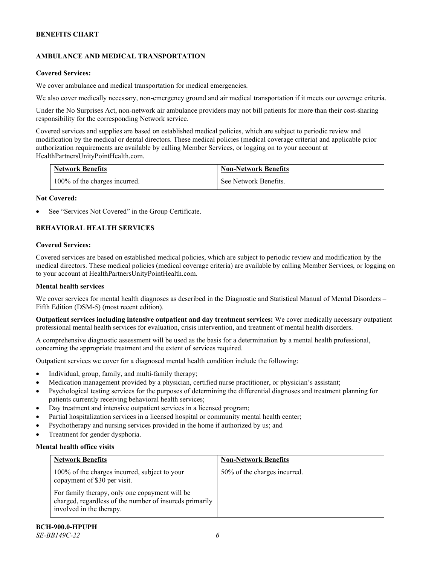# **AMBULANCE AND MEDICAL TRANSPORTATION**

# **Covered Services:**

We cover ambulance and medical transportation for medical emergencies.

We also cover medically necessary, non-emergency ground and air medical transportation if it meets our coverage criteria.

Under the No Surprises Act, non-network air ambulance providers may not bill patients for more than their cost-sharing responsibility for the corresponding Network service.

Covered services and supplies are based on established medical policies, which are subject to periodic review and modification by the medical or dental directors. These medical policies (medical coverage criteria) and applicable prior authorization requirements are available by calling Member Services, or logging on to your account at [HealthPartnersUnityPointHealth.com.](https://www.healthpartnersunitypointhealth.com/)

| <b>Network Benefits</b>       | <b>Non-Network Benefits</b> |
|-------------------------------|-----------------------------|
| 100% of the charges incurred. | See Network Benefits.       |

# **Not Covered:**

See "Services Not Covered" in the Group Certificate.

# **BEHAVIORAL HEALTH SERVICES**

# **Covered Services:**

Covered services are based on established medical policies, which are subject to periodic review and modification by the medical directors. These medical policies (medical coverage criteria) are available by calling Member Services, or logging on to your account at [HealthPartnersUnityPointHealth.com.](https://www.healthpartnersunitypointhealth.com/)

# **Mental health services**

We cover services for mental health diagnoses as described in the Diagnostic and Statistical Manual of Mental Disorders – Fifth Edition (DSM-5) (most recent edition).

**Outpatient services including intensive outpatient and day treatment services:** We cover medically necessary outpatient professional mental health services for evaluation, crisis intervention, and treatment of mental health disorders.

A comprehensive diagnostic assessment will be used as the basis for a determination by a mental health professional, concerning the appropriate treatment and the extent of services required.

Outpatient services we cover for a diagnosed mental health condition include the following:

- Individual, group, family, and multi-family therapy;
- Medication management provided by a physician, certified nurse practitioner, or physician's assistant;
- Psychological testing services for the purposes of determining the differential diagnoses and treatment planning for patients currently receiving behavioral health services;
- Day treatment and intensive outpatient services in a licensed program;
- Partial hospitalization services in a licensed hospital or community mental health center;
- Psychotherapy and nursing services provided in the home if authorized by us; and
- Treatment for gender dysphoria.

# **Mental health office visits**

| <b>Network Benefits</b>                                                                                                               | <b>Non-Network Benefits</b>  |
|---------------------------------------------------------------------------------------------------------------------------------------|------------------------------|
| 100% of the charges incurred, subject to your<br>copayment of \$30 per visit.                                                         | 50% of the charges incurred. |
| For family therapy, only one copayment will be<br>charged, regardless of the number of insureds primarily<br>involved in the therapy. |                              |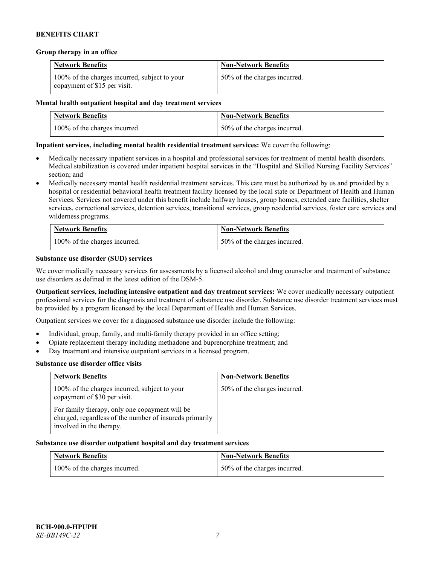### **Group therapy in an office**

| <b>Network Benefits</b>                                                       | <b>Non-Network Benefits</b>  |
|-------------------------------------------------------------------------------|------------------------------|
| 100% of the charges incurred, subject to your<br>copayment of \$15 per visit. | 50% of the charges incurred. |

### **Mental health outpatient hospital and day treatment services**

| <b>Network Benefits</b>       | <b>Non-Network Benefits</b>  |
|-------------------------------|------------------------------|
| 100% of the charges incurred. | 50% of the charges incurred. |

# **Inpatient services, including mental health residential treatment services:** We cover the following:

- Medically necessary inpatient services in a hospital and professional services for treatment of mental health disorders. Medical stabilization is covered under inpatient hospital services in the "Hospital and Skilled Nursing Facility Services" section; and
- Medically necessary mental health residential treatment services. This care must be authorized by us and provided by a hospital or residential behavioral health treatment facility licensed by the local state or Department of Health and Human Services. Services not covered under this benefit include halfway houses, group homes, extended care facilities, shelter services, correctional services, detention services, transitional services, group residential services, foster care services and wilderness programs.

| <b>Network Benefits</b>       | <b>Non-Network Benefits</b>  |
|-------------------------------|------------------------------|
| 100% of the charges incurred. | 50% of the charges incurred. |

# **Substance use disorder (SUD) services**

We cover medically necessary services for assessments by a licensed alcohol and drug counselor and treatment of substance use disorders as defined in the latest edition of the DSM-5.

**Outpatient services, including intensive outpatient and day treatment services:** We cover medically necessary outpatient professional services for the diagnosis and treatment of substance use disorder. Substance use disorder treatment services must be provided by a program licensed by the local Department of Health and Human Services.

Outpatient services we cover for a diagnosed substance use disorder include the following:

- Individual, group, family, and multi-family therapy provided in an office setting;
- Opiate replacement therapy including methadone and buprenorphine treatment; and
- Day treatment and intensive outpatient services in a licensed program.

#### **Substance use disorder office visits**

| <b>Network Benefits</b>                                                                                                               | <b>Non-Network Benefits</b>  |
|---------------------------------------------------------------------------------------------------------------------------------------|------------------------------|
| 100% of the charges incurred, subject to your<br>copayment of \$30 per visit.                                                         | 50% of the charges incurred. |
| For family therapy, only one copayment will be<br>charged, regardless of the number of insureds primarily<br>involved in the therapy. |                              |

#### **Substance use disorder outpatient hospital and day treatment services**

| <b>Network Benefits</b>       | <b>Non-Network Benefits</b>  |
|-------------------------------|------------------------------|
| 100% of the charges incurred. | 50% of the charges incurred. |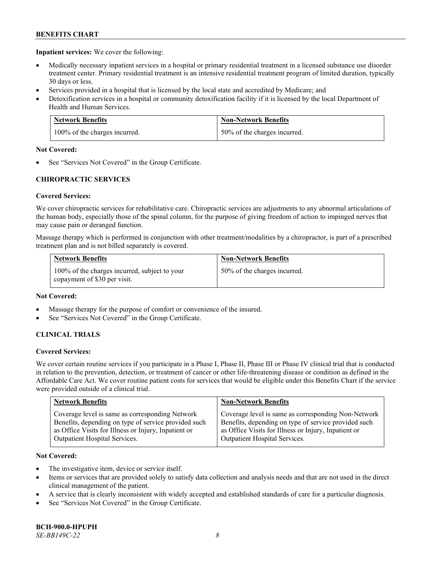**Inpatient services:** We cover the following:

- Medically necessary inpatient services in a hospital or primary residential treatment in a licensed substance use disorder treatment center. Primary residential treatment is an intensive residential treatment program of limited duration, typically 30 days or less.
- Services provided in a hospital that is licensed by the local state and accredited by Medicare; and
- Detoxification services in a hospital or community detoxification facility if it is licensed by the local Department of Health and Human Services.

| <b>Network Benefits</b>       | <b>Non-Network Benefits</b>  |
|-------------------------------|------------------------------|
| 100% of the charges incurred. | 50% of the charges incurred. |

# **Not Covered:**

See "Services Not Covered" in the Group Certificate.

# **CHIROPRACTIC SERVICES**

# **Covered Services:**

We cover chiropractic services for rehabilitative care. Chiropractic services are adjustments to any abnormal articulations of the human body, especially those of the spinal column, for the purpose of giving freedom of action to impinged nerves that may cause pain or deranged function.

Massage therapy which is performed in conjunction with other treatment/modalities by a chiropractor, is part of a prescribed treatment plan and is not billed separately is covered.

| <b>Network Benefits</b>                                                       | <b>Non-Network Benefits</b>  |
|-------------------------------------------------------------------------------|------------------------------|
| 100% of the charges incurred, subject to your<br>copayment of \$30 per visit. | 50% of the charges incurred. |

# **Not Covered:**

- Massage therapy for the purpose of comfort or convenience of the insured.
- See "Services Not Covered" in the Group Certificate.

# **CLINICAL TRIALS**

# **Covered Services:**

We cover certain routine services if you participate in a Phase I, Phase II, Phase III or Phase IV clinical trial that is conducted in relation to the prevention, detection, or treatment of cancer or other life-threatening disease or condition as defined in the Affordable Care Act. We cover routine patient costs for services that would be eligible under this Benefits Chart if the service were provided outside of a clinical trial.

| <b>Network Benefits</b>                              | <b>Non-Network Benefits</b>                          |
|------------------------------------------------------|------------------------------------------------------|
| Coverage level is same as corresponding Network      | Coverage level is same as corresponding Non-Network  |
| Benefits, depending on type of service provided such | Benefits, depending on type of service provided such |
| as Office Visits for Illness or Injury, Inpatient or | as Office Visits for Illness or Injury, Inpatient or |
| Outpatient Hospital Services.                        | Outpatient Hospital Services.                        |

# **Not Covered:**

- The investigative item, device or service itself.
- Items or services that are provided solely to satisfy data collection and analysis needs and that are not used in the direct clinical management of the patient.
- A service that is clearly inconsistent with widely accepted and established standards of care for a particular diagnosis.
- See "Services Not Covered" in the Group Certificate.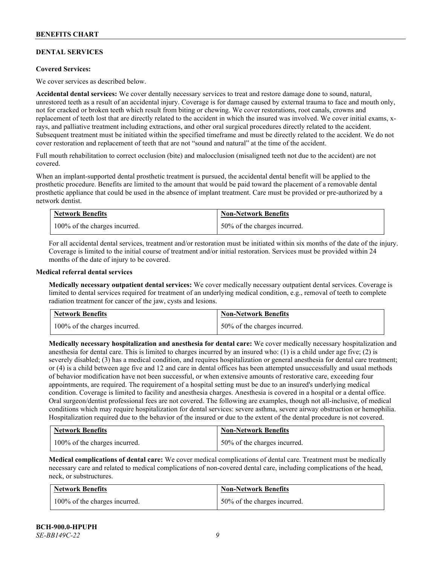# **DENTAL SERVICES**

### **Covered Services:**

We cover services as described below.

**Accidental dental services:** We cover dentally necessary services to treat and restore damage done to sound, natural, unrestored teeth as a result of an accidental injury. Coverage is for damage caused by external trauma to face and mouth only, not for cracked or broken teeth which result from biting or chewing. We cover restorations, root canals, crowns and replacement of teeth lost that are directly related to the accident in which the insured was involved. We cover initial exams, xrays, and palliative treatment including extractions, and other oral surgical procedures directly related to the accident. Subsequent treatment must be initiated within the specified timeframe and must be directly related to the accident. We do not cover restoration and replacement of teeth that are not "sound and natural" at the time of the accident.

Full mouth rehabilitation to correct occlusion (bite) and malocclusion (misaligned teeth not due to the accident) are not covered.

When an implant-supported dental prosthetic treatment is pursued, the accidental dental benefit will be applied to the prosthetic procedure. Benefits are limited to the amount that would be paid toward the placement of a removable dental prosthetic appliance that could be used in the absence of implant treatment. Care must be provided or pre-authorized by a network dentist.

| <b>Network Benefits</b>       | <b>Non-Network Benefits</b>  |
|-------------------------------|------------------------------|
| 100% of the charges incurred. | 50% of the charges incurred. |

For all accidental dental services, treatment and/or restoration must be initiated within six months of the date of the injury. Coverage is limited to the initial course of treatment and/or initial restoration. Services must be provided within 24 months of the date of injury to be covered.

### **Medical referral dental services**

**Medically necessary outpatient dental services:** We cover medically necessary outpatient dental services. Coverage is limited to dental services required for treatment of an underlying medical condition, e.g., removal of teeth to complete radiation treatment for cancer of the jaw, cysts and lesions.

| <b>Network Benefits</b>       | <b>Non-Network Benefits</b>  |
|-------------------------------|------------------------------|
| 100% of the charges incurred. | 50% of the charges incurred. |

**Medically necessary hospitalization and anesthesia for dental care:** We cover medically necessary hospitalization and anesthesia for dental care. This is limited to charges incurred by an insured who: (1) is a child under age five; (2) is severely disabled; (3) has a medical condition, and requires hospitalization or general anesthesia for dental care treatment; or (4) is a child between age five and 12 and care in dental offices has been attempted unsuccessfully and usual methods of behavior modification have not been successful, or when extensive amounts of restorative care, exceeding four appointments, are required. The requirement of a hospital setting must be due to an insured's underlying medical condition. Coverage is limited to facility and anesthesia charges. Anesthesia is covered in a hospital or a dental office. Oral surgeon/dentist professional fees are not covered. The following are examples, though not all-inclusive, of medical conditions which may require hospitalization for dental services: severe asthma, severe airway obstruction or hemophilia. Hospitalization required due to the behavior of the insured or due to the extent of the dental procedure is not covered.

| <b>Network Benefits</b>       | <b>Non-Network Benefits</b>  |
|-------------------------------|------------------------------|
| 100% of the charges incurred. | 50% of the charges incurred. |

**Medical complications of dental care:** We cover medical complications of dental care. Treatment must be medically necessary care and related to medical complications of non-covered dental care, including complications of the head, neck, or substructures.

| <b>Network Benefits</b>       | <b>Non-Network Benefits</b>  |
|-------------------------------|------------------------------|
| 100% of the charges incurred. | 50% of the charges incurred. |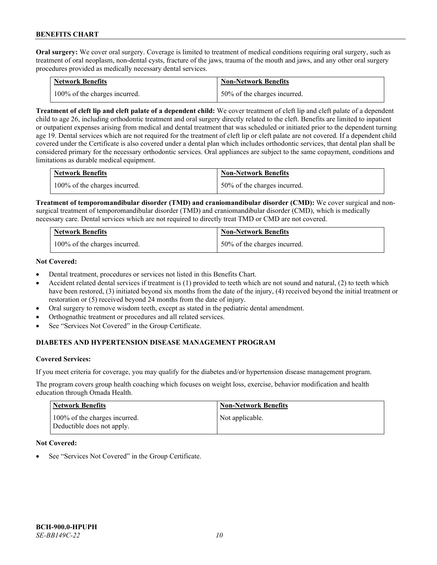**Oral surgery:** We cover oral surgery. Coverage is limited to treatment of medical conditions requiring oral surgery, such as treatment of oral neoplasm, non-dental cysts, fracture of the jaws, trauma of the mouth and jaws, and any other oral surgery procedures provided as medically necessary dental services.

| <b>Network Benefits</b>       | <b>Non-Network Benefits</b>  |
|-------------------------------|------------------------------|
| 100% of the charges incurred. | 50% of the charges incurred. |

**Treatment of cleft lip and cleft palate of a dependent child:** We cover treatment of cleft lip and cleft palate of a dependent child to age 26, including orthodontic treatment and oral surgery directly related to the cleft. Benefits are limited to inpatient or outpatient expenses arising from medical and dental treatment that was scheduled or initiated prior to the dependent turning age 19. Dental services which are not required for the treatment of cleft lip or cleft palate are not covered. If a dependent child covered under the Certificate is also covered under a dental plan which includes orthodontic services, that dental plan shall be considered primary for the necessary orthodontic services. Oral appliances are subject to the same copayment, conditions and limitations as durable medical equipment.

| <b>Network Benefits</b>       | <b>Non-Network Benefits</b>      |
|-------------------------------|----------------------------------|
| 100% of the charges incurred. | $150\%$ of the charges incurred. |

**Treatment of temporomandibular disorder (TMD) and craniomandibular disorder (CMD):** We cover surgical and nonsurgical treatment of temporomandibular disorder (TMD) and craniomandibular disorder (CMD), which is medically necessary care. Dental services which are not required to directly treat TMD or CMD are not covered.

| <b>Network Benefits</b>       | <b>Non-Network Benefits</b>  |
|-------------------------------|------------------------------|
| 100% of the charges incurred. | 50% of the charges incurred. |

# **Not Covered:**

- Dental treatment, procedures or services not listed in this Benefits Chart.
- Accident related dental services if treatment is (1) provided to teeth which are not sound and natural, (2) to teeth which have been restored, (3) initiated beyond six months from the date of the injury, (4) received beyond the initial treatment or restoration or (5) received beyond 24 months from the date of injury.
- Oral surgery to remove wisdom teeth, except as stated in the pediatric dental amendment.
- Orthognathic treatment or procedures and all related services.
- See "Services Not Covered" in the Group Certificate.

# **DIABETES AND HYPERTENSION DISEASE MANAGEMENT PROGRAM**

#### **Covered Services:**

If you meet criteria for coverage, you may qualify for the diabetes and/or hypertension disease management program.

The program covers group health coaching which focuses on weight loss, exercise, behavior modification and health education through Omada Health.

| <b>Network Benefits</b>                                     | <b>Non-Network Benefits</b> |
|-------------------------------------------------------------|-----------------------------|
| 100% of the charges incurred.<br>Deductible does not apply. | Not applicable.             |

### **Not Covered:**

See "Services Not Covered" in the Group Certificate.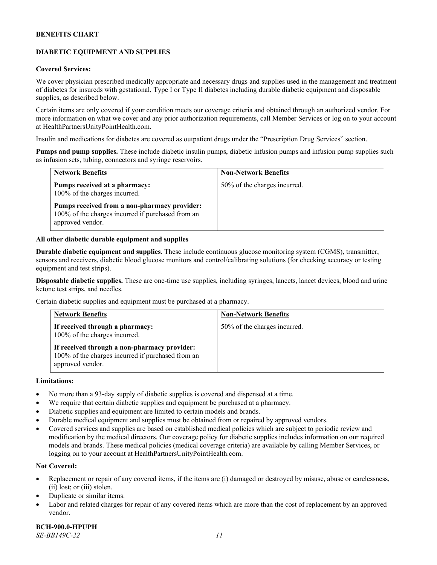# **DIABETIC EQUIPMENT AND SUPPLIES**

### **Covered Services:**

We cover physician prescribed medically appropriate and necessary drugs and supplies used in the management and treatment of diabetes for insureds with gestational, Type I or Type II diabetes including durable diabetic equipment and disposable supplies, as described below.

Certain items are only covered if your condition meets our coverage criteria and obtained through an authorized vendor. For more information on what we cover and any prior authorization requirements, call Member Services or log on to your account at [HealthPartnersUnityPointHealth.com.](https://www.healthpartnersunitypointhealth.com/)

Insulin and medications for diabetes are covered as outpatient drugs under the "Prescription Drug Services" section.

**Pumps and pump supplies.** These include diabetic insulin pumps, diabetic infusion pumps and infusion pump supplies such as infusion sets, tubing, connectors and syringe reservoirs.

| <b>Network Benefits</b>                                                                                               | <b>Non-Network Benefits</b>  |
|-----------------------------------------------------------------------------------------------------------------------|------------------------------|
| Pumps received at a pharmacy:<br>100% of the charges incurred.                                                        | 50% of the charges incurred. |
| Pumps received from a non-pharmacy provider:<br>100% of the charges incurred if purchased from an<br>approved vendor. |                              |

### **All other diabetic durable equipment and supplies**

**Durable diabetic equipment and supplies**. These include continuous glucose monitoring system (CGMS), transmitter, sensors and receivers, diabetic blood glucose monitors and control/calibrating solutions (for checking accuracy or testing equipment and test strips).

**Disposable diabetic supplies.** These are one-time use supplies, including syringes, lancets, lancet devices, blood and urine ketone test strips, and needles.

Certain diabetic supplies and equipment must be purchased at a pharmacy.

| <b>Network Benefits</b>                                                                                               | <b>Non-Network Benefits</b>  |
|-----------------------------------------------------------------------------------------------------------------------|------------------------------|
| If received through a pharmacy:<br>100% of the charges incurred.                                                      | 50% of the charges incurred. |
| If received through a non-pharmacy provider:<br>100% of the charges incurred if purchased from an<br>approved vendor. |                              |

### **Limitations:**

- No more than a 93-day supply of diabetic supplies is covered and dispensed at a time.
- We require that certain diabetic supplies and equipment be purchased at a pharmacy.
- Diabetic supplies and equipment are limited to certain models and brands.
- Durable medical equipment and supplies must be obtained from or repaired by approved vendors.
- Covered services and supplies are based on established medical policies which are subject to periodic review and modification by the medical directors. Our coverage policy for diabetic supplies includes information on our required models and brands. These medical policies (medical coverage criteria) are available by calling Member Services, or logging on to your account a[t HealthPartnersUnityPointHealth.com.](https://www.healthpartnersunitypointhealth.com/)

# **Not Covered:**

- Replacement or repair of any covered items, if the items are (i) damaged or destroyed by misuse, abuse or carelessness, (ii) lost; or (iii) stolen.
- Duplicate or similar items.
- Labor and related charges for repair of any covered items which are more than the cost of replacement by an approved vendor.

**BCH-900.0-HPUPH** *SE-BB149C-22 11*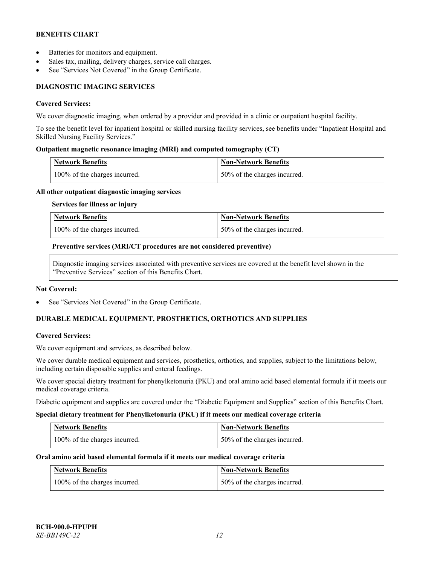- Batteries for monitors and equipment.
- Sales tax, mailing, delivery charges, service call charges.
- See "Services Not Covered" in the Group Certificate.

# **DIAGNOSTIC IMAGING SERVICES**

### **Covered Services:**

We cover diagnostic imaging, when ordered by a provider and provided in a clinic or outpatient hospital facility.

To see the benefit level for inpatient hospital or skilled nursing facility services, see benefits under "Inpatient Hospital and Skilled Nursing Facility Services."

# **Outpatient magnetic resonance imaging (MRI) and computed tomography (CT)**

| <b>Network Benefits</b>       | <b>Non-Network Benefits</b>  |
|-------------------------------|------------------------------|
| 100% of the charges incurred. | 50% of the charges incurred. |

### **All other outpatient diagnostic imaging services**

**Services for illness or injury**

| <b>Network Benefits</b>       | <b>Non-Network Benefits</b>  |
|-------------------------------|------------------------------|
| 100% of the charges incurred. | 50% of the charges incurred. |

### **Preventive services (MRI/CT procedures are not considered preventive)**

Diagnostic imaging services associated with preventive services are covered at the benefit level shown in the "Preventive Services" section of this Benefits Chart.

#### **Not Covered:**

See "Services Not Covered" in the Group Certificate.

# **DURABLE MEDICAL EQUIPMENT, PROSTHETICS, ORTHOTICS AND SUPPLIES**

# **Covered Services:**

We cover equipment and services, as described below.

We cover durable medical equipment and services, prosthetics, orthotics, and supplies, subject to the limitations below, including certain disposable supplies and enteral feedings.

We cover special dietary treatment for phenylketonuria (PKU) and oral amino acid based elemental formula if it meets our medical coverage criteria.

Diabetic equipment and supplies are covered under the "Diabetic Equipment and Supplies" section of this Benefits Chart.

#### **Special dietary treatment for Phenylketonuria (PKU) if it meets our medical coverage criteria**

| <b>Network Benefits</b>       | <b>Non-Network Benefits</b>  |
|-------------------------------|------------------------------|
| 100% of the charges incurred. | 50% of the charges incurred. |

# **Oral amino acid based elemental formula if it meets our medical coverage criteria**

| <b>Network Benefits</b>       | <b>Non-Network Benefits</b>  |
|-------------------------------|------------------------------|
| 100% of the charges incurred. | 50% of the charges incurred. |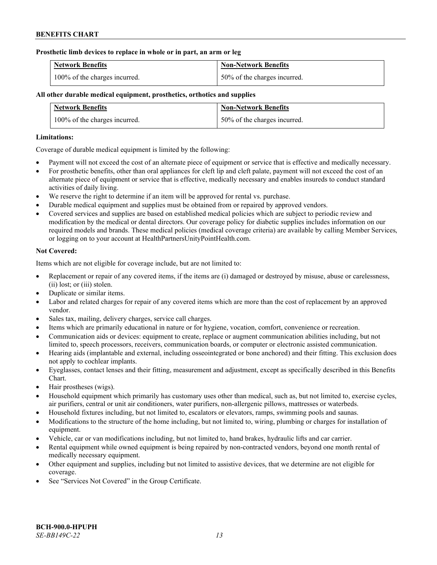### **Prosthetic limb devices to replace in whole or in part, an arm or leg**

| <b>Network Benefits</b>       | <b>Non-Network Benefits</b>  |
|-------------------------------|------------------------------|
| 100% of the charges incurred. | 50% of the charges incurred. |

# **All other durable medical equipment, prosthetics, orthotics and supplies**

| <b>Network Benefits</b>       | <b>Non-Network Benefits</b>  |
|-------------------------------|------------------------------|
| 100% of the charges incurred. | 50% of the charges incurred. |

### **Limitations:**

Coverage of durable medical equipment is limited by the following:

- Payment will not exceed the cost of an alternate piece of equipment or service that is effective and medically necessary.
- For prosthetic benefits, other than oral appliances for cleft lip and cleft palate, payment will not exceed the cost of an alternate piece of equipment or service that is effective, medically necessary and enables insureds to conduct standard activities of daily living.
- We reserve the right to determine if an item will be approved for rental vs. purchase.
- Durable medical equipment and supplies must be obtained from or repaired by approved vendors.
- Covered services and supplies are based on established medical policies which are subject to periodic review and modification by the medical or dental directors. Our coverage policy for diabetic supplies includes information on our required models and brands. These medical policies (medical coverage criteria) are available by calling Member Services, or logging on to your account at [HealthPartnersUnityPointHealth.com.](https://www.healthpartnersunitypointhealth.com/)

# **Not Covered:**

Items which are not eligible for coverage include, but are not limited to:

- Replacement or repair of any covered items, if the items are (i) damaged or destroyed by misuse, abuse or carelessness, (ii) lost; or (iii) stolen.
- Duplicate or similar items.
- Labor and related charges for repair of any covered items which are more than the cost of replacement by an approved vendor.
- Sales tax, mailing, delivery charges, service call charges.
- Items which are primarily educational in nature or for hygiene, vocation, comfort, convenience or recreation.
- Communication aids or devices: equipment to create, replace or augment communication abilities including, but not limited to, speech processors, receivers, communication boards, or computer or electronic assisted communication.
- Hearing aids (implantable and external, including osseointegrated or bone anchored) and their fitting. This exclusion does not apply to cochlear implants.
- Eyeglasses, contact lenses and their fitting, measurement and adjustment, except as specifically described in this Benefits Chart.
- Hair prostheses (wigs).
- Household equipment which primarily has customary uses other than medical, such as, but not limited to, exercise cycles, air purifiers, central or unit air conditioners, water purifiers, non-allergenic pillows, mattresses or waterbeds.
- Household fixtures including, but not limited to, escalators or elevators, ramps, swimming pools and saunas.
- Modifications to the structure of the home including, but not limited to, wiring, plumbing or charges for installation of equipment.
- Vehicle, car or van modifications including, but not limited to, hand brakes, hydraulic lifts and car carrier.
- Rental equipment while owned equipment is being repaired by non-contracted vendors, beyond one month rental of medically necessary equipment.
- Other equipment and supplies, including but not limited to assistive devices, that we determine are not eligible for coverage.
- See "Services Not Covered" in the Group Certificate.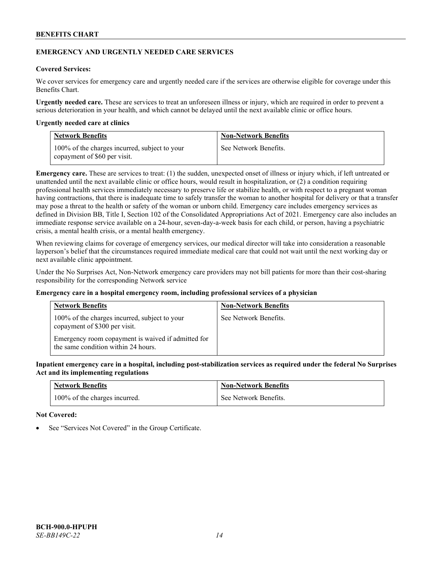# **EMERGENCY AND URGENTLY NEEDED CARE SERVICES**

# **Covered Services:**

We cover services for emergency care and urgently needed care if the services are otherwise eligible for coverage under this Benefits Chart.

**Urgently needed care.** These are services to treat an unforeseen illness or injury, which are required in order to prevent a serious deterioration in your health, and which cannot be delayed until the next available clinic or office hours.

### **Urgently needed care at clinics**

| <b>Network Benefits</b>                                                       | <b>Non-Network Benefits</b> |
|-------------------------------------------------------------------------------|-----------------------------|
| 100% of the charges incurred, subject to your<br>copayment of \$60 per visit. | See Network Benefits.       |

**Emergency care.** These are services to treat: (1) the sudden, unexpected onset of illness or injury which, if left untreated or unattended until the next available clinic or office hours, would result in hospitalization, or (2) a condition requiring professional health services immediately necessary to preserve life or stabilize health, or with respect to a pregnant woman having contractions, that there is inadequate time to safely transfer the woman to another hospital for delivery or that a transfer may pose a threat to the health or safety of the woman or unborn child. Emergency care includes emergency services as defined in Division BB, Title I, Section 102 of the Consolidated Appropriations Act of 2021. Emergency care also includes an immediate response service available on a 24-hour, seven-day-a-week basis for each child, or person, having a psychiatric crisis, a mental health crisis, or a mental health emergency.

When reviewing claims for coverage of emergency services, our medical director will take into consideration a reasonable layperson's belief that the circumstances required immediate medical care that could not wait until the next working day or next available clinic appointment.

Under the No Surprises Act, Non-Network emergency care providers may not bill patients for more than their cost-sharing responsibility for the corresponding Network service

# **Emergency care in a hospital emergency room, including professional services of a physician**

| <b>Network Benefits</b>                                                                   | <b>Non-Network Benefits</b> |
|-------------------------------------------------------------------------------------------|-----------------------------|
| 100% of the charges incurred, subject to your<br>copayment of \$300 per visit.            | See Network Benefits.       |
| Emergency room copayment is waived if admitted for<br>the same condition within 24 hours. |                             |

**Inpatient emergency care in a hospital, including post-stabilization services as required under the federal No Surprises Act and its implementing regulations**

| <b>Network Benefits</b>       | <b>Non-Network Benefits</b> |
|-------------------------------|-----------------------------|
| 100% of the charges incurred. | See Network Benefits.       |

#### **Not Covered:**

See "Services Not Covered" in the Group Certificate.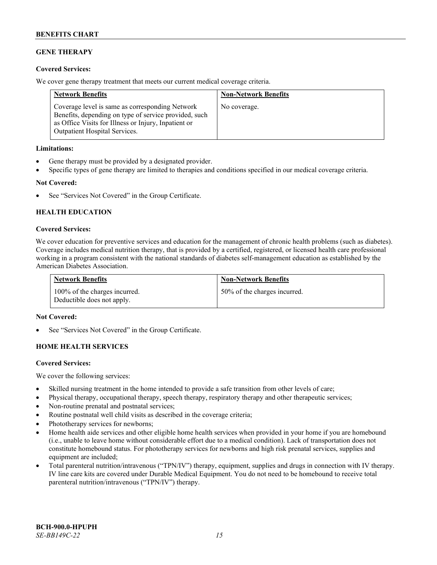# **GENE THERAPY**

# **Covered Services:**

We cover gene therapy treatment that meets our current medical coverage criteria.

| <b>Network Benefits</b>                                                                                                                                                                                  | <b>Non-Network Benefits</b> |
|----------------------------------------------------------------------------------------------------------------------------------------------------------------------------------------------------------|-----------------------------|
| Coverage level is same as corresponding Network<br>Benefits, depending on type of service provided, such<br>as Office Visits for Illness or Injury, Inpatient or<br><b>Outpatient Hospital Services.</b> | No coverage.                |

### **Limitations:**

- Gene therapy must be provided by a designated provider.
- Specific types of gene therapy are limited to therapies and conditions specified in our medical coverage criteria.

# **Not Covered:**

See "Services Not Covered" in the Group Certificate.

# **HEALTH EDUCATION**

### **Covered Services:**

We cover education for preventive services and education for the management of chronic health problems (such as diabetes). Coverage includes medical nutrition therapy, that is provided by a certified, registered, or licensed health care professional working in a program consistent with the national standards of diabetes self-management education as established by the American Diabetes Association.

| <b>Network Benefits</b>                                     | <b>Non-Network Benefits</b>  |
|-------------------------------------------------------------|------------------------------|
| 100% of the charges incurred.<br>Deductible does not apply. | 50% of the charges incurred. |

#### **Not Covered:**

See "Services Not Covered" in the Group Certificate.

# **HOME HEALTH SERVICES**

#### **Covered Services:**

We cover the following services:

- Skilled nursing treatment in the home intended to provide a safe transition from other levels of care;
- Physical therapy, occupational therapy, speech therapy, respiratory therapy and other therapeutic services;
- Non-routine prenatal and postnatal services;
- Routine postnatal well child visits as described in the coverage criteria;
- Phototherapy services for newborns;
- Home health aide services and other eligible home health services when provided in your home if you are homebound (i.e., unable to leave home without considerable effort due to a medical condition). Lack of transportation does not constitute homebound status. For phototherapy services for newborns and high risk prenatal services, supplies and equipment are included;
- Total parenteral nutrition/intravenous ("TPN/IV") therapy, equipment, supplies and drugs in connection with IV therapy. IV line care kits are covered under Durable Medical Equipment. You do not need to be homebound to receive total parenteral nutrition/intravenous ("TPN/IV") therapy.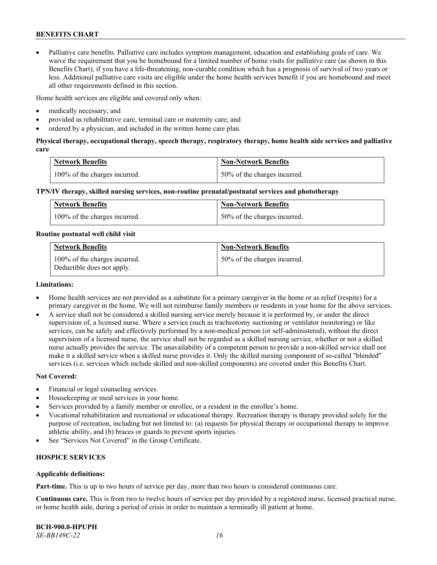• Palliative care benefits. Palliative care includes symptom management, education and establishing goals of care. We waive the requirement that you be homebound for a limited number of home visits for palliative care (as shown in this Benefits Chart), if you have a life-threatening, non-curable condition which has a prognosis of survival of two years or less. Additional palliative care visits are eligible under the home health services benefit if you are homebound and meet all other requirements defined in this section.

Home health services are eligible and covered only when:

- medically necessary; and
- provided as rehabilitative care, terminal care or maternity care; and
- ordered by a physician, and included in the written home care plan.

# **Physical therapy, occupational therapy, speech therapy, respiratory therapy, home health aide services and palliative care**

| <b>Network Benefits</b>       | <b>Non-Network Benefits</b>  |
|-------------------------------|------------------------------|
| 100% of the charges incurred. | 50% of the charges incurred. |

### **TPN/IV therapy, skilled nursing services, non-routine prenatal/postnatal services and phototherapy**

| Network Benefits              | <b>Non-Network Benefits</b>  |
|-------------------------------|------------------------------|
| 100% of the charges incurred. | 50% of the charges incurred. |

#### **Routine postnatal well child visit**

| <b>Network Benefits</b>                                     | <b>Non-Network Benefits</b>  |
|-------------------------------------------------------------|------------------------------|
| 100% of the charges incurred.<br>Deductible does not apply. | 50% of the charges incurred. |

### **Limitations:**

- Home health services are not provided as a substitute for a primary caregiver in the home or as relief (respite) for a primary caregiver in the home. We will not reimburse family members or residents in your home for the above services.
- A service shall not be considered a skilled nursing service merely because it is performed by, or under the direct supervision of, a licensed nurse. Where a service (such as tracheotomy suctioning or ventilator monitoring) or like services, can be safely and effectively performed by a non-medical person (or self-administered), without the direct supervision of a licensed nurse, the service shall not be regarded as a skilled nursing service, whether or not a skilled nurse actually provides the service. The unavailability of a competent person to provide a non-skilled service shall not make it a skilled service when a skilled nurse provides it. Only the skilled nursing component of so-called "blended" services (i.e. services which include skilled and non-skilled components) are covered under this Benefits Chart.

#### **Not Covered:**

- Financial or legal counseling services.
- Housekeeping or meal services in your home.
- Services provided by a family member or enrollee, or a resident in the enrollee's home.
- Vocational rehabilitation and recreational or educational therapy. Recreation therapy is therapy provided solely for the purpose of recreation, including but not limited to: (a) requests for physical therapy or occupational therapy to improve athletic ability, and (b) braces or guards to prevent sports injuries.
- See "Services Not Covered" in the Group Certificate.

# **HOSPICE SERVICES**

#### **Applicable definitions:**

**Part-time.** This is up to two hours of service per day, more than two hours is considered continuous care.

**Continuous care.** This is from two to twelve hours of service per day provided by a registered nurse, licensed practical nurse, or home health aide, during a period of crisis in order to maintain a terminally ill patient at home.

**BCH-900.0-HPUPH** *SE-BB149C-22 16*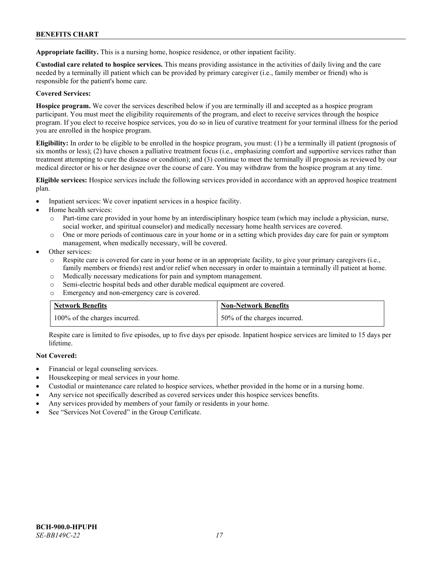**Appropriate facility.** This is a nursing home, hospice residence, or other inpatient facility.

**Custodial care related to hospice services.** This means providing assistance in the activities of daily living and the care needed by a terminally ill patient which can be provided by primary caregiver (i.e., family member or friend) who is responsible for the patient's home care.

# **Covered Services:**

**Hospice program.** We cover the services described below if you are terminally ill and accepted as a hospice program participant. You must meet the eligibility requirements of the program, and elect to receive services through the hospice program. If you elect to receive hospice services, you do so in lieu of curative treatment for your terminal illness for the period you are enrolled in the hospice program.

**Eligibility:** In order to be eligible to be enrolled in the hospice program, you must: (1) be a terminally ill patient (prognosis of six months or less); (2) have chosen a palliative treatment focus (i.e., emphasizing comfort and supportive services rather than treatment attempting to cure the disease or condition); and (3) continue to meet the terminally ill prognosis as reviewed by our medical director or his or her designee over the course of care. You may withdraw from the hospice program at any time.

**Eligible services:** Hospice services include the following services provided in accordance with an approved hospice treatment plan.

- Inpatient services: We cover inpatient services in a hospice facility.
- Home health services:
	- o Part-time care provided in your home by an interdisciplinary hospice team (which may include a physician, nurse, social worker, and spiritual counselor) and medically necessary home health services are covered.
	- o One or more periods of continuous care in your home or in a setting which provides day care for pain or symptom management, when medically necessary, will be covered.
- Other services:
	- o Respite care is covered for care in your home or in an appropriate facility, to give your primary caregivers (i.e., family members or friends) rest and/or relief when necessary in order to maintain a terminally ill patient at home.
	- o Medically necessary medications for pain and symptom management.
	- o Semi-electric hospital beds and other durable medical equipment are covered.
	- Emergency and non-emergency care is covered.

| <b>Network Benefits</b>       | <b>Non-Network Benefits</b>  |
|-------------------------------|------------------------------|
| 100% of the charges incurred. | 50% of the charges incurred. |

Respite care is limited to five episodes, up to five days per episode. Inpatient hospice services are limited to 15 days per lifetime.

# **Not Covered:**

- Financial or legal counseling services.
- Housekeeping or meal services in your home.
- Custodial or maintenance care related to hospice services, whether provided in the home or in a nursing home.
- Any service not specifically described as covered services under this hospice services benefits.
- Any services provided by members of your family or residents in your home.
- See "Services Not Covered" in the Group Certificate.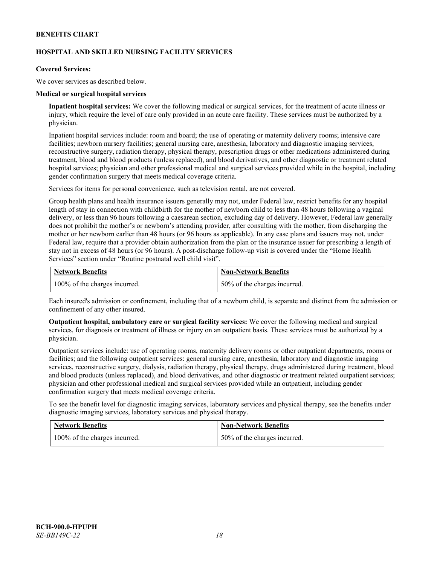# **HOSPITAL AND SKILLED NURSING FACILITY SERVICES**

### **Covered Services:**

We cover services as described below.

### **Medical or surgical hospital services**

**Inpatient hospital services:** We cover the following medical or surgical services, for the treatment of acute illness or injury, which require the level of care only provided in an acute care facility. These services must be authorized by a physician.

Inpatient hospital services include: room and board; the use of operating or maternity delivery rooms; intensive care facilities; newborn nursery facilities; general nursing care, anesthesia, laboratory and diagnostic imaging services, reconstructive surgery, radiation therapy, physical therapy, prescription drugs or other medications administered during treatment, blood and blood products (unless replaced), and blood derivatives, and other diagnostic or treatment related hospital services; physician and other professional medical and surgical services provided while in the hospital, including gender confirmation surgery that meets medical coverage criteria.

Services for items for personal convenience, such as television rental, are not covered.

Group health plans and health insurance issuers generally may not, under Federal law, restrict benefits for any hospital length of stay in connection with childbirth for the mother of newborn child to less than 48 hours following a vaginal delivery, or less than 96 hours following a caesarean section, excluding day of delivery. However, Federal law generally does not prohibit the mother's or newborn's attending provider, after consulting with the mother, from discharging the mother or her newborn earlier than 48 hours (or 96 hours as applicable). In any case plans and issuers may not, under Federal law, require that a provider obtain authorization from the plan or the insurance issuer for prescribing a length of stay not in excess of 48 hours (or 96 hours). A post-discharge follow-up visit is covered under the "Home Health Services" section under "Routine postnatal well child visit".

| <b>Network Benefits</b>       | <b>Non-Network Benefits</b>  |
|-------------------------------|------------------------------|
| 100% of the charges incurred. | 50% of the charges incurred. |

Each insured's admission or confinement, including that of a newborn child, is separate and distinct from the admission or confinement of any other insured.

**Outpatient hospital, ambulatory care or surgical facility services:** We cover the following medical and surgical services, for diagnosis or treatment of illness or injury on an outpatient basis. These services must be authorized by a physician.

Outpatient services include: use of operating rooms, maternity delivery rooms or other outpatient departments, rooms or facilities; and the following outpatient services: general nursing care, anesthesia, laboratory and diagnostic imaging services, reconstructive surgery, dialysis, radiation therapy, physical therapy, drugs administered during treatment, blood and blood products (unless replaced), and blood derivatives, and other diagnostic or treatment related outpatient services; physician and other professional medical and surgical services provided while an outpatient, including gender confirmation surgery that meets medical coverage criteria.

To see the benefit level for diagnostic imaging services, laboratory services and physical therapy, see the benefits under diagnostic imaging services, laboratory services and physical therapy.

| <b>Network Benefits</b>       | <b>Non-Network Benefits</b>  |
|-------------------------------|------------------------------|
| 100% of the charges incurred. | 50% of the charges incurred. |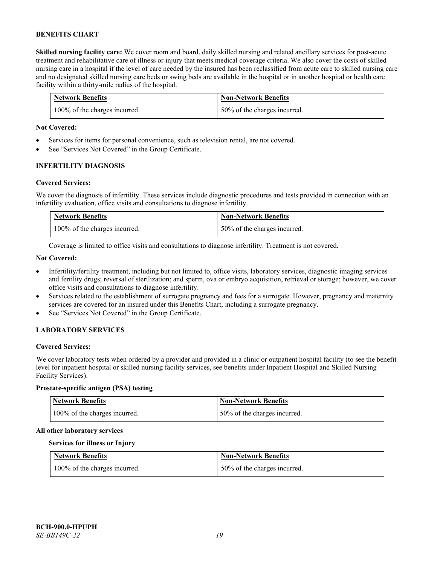**Skilled nursing facility care:** We cover room and board, daily skilled nursing and related ancillary services for post-acute treatment and rehabilitative care of illness or injury that meets medical coverage criteria. We also cover the costs of skilled nursing care in a hospital if the level of care needed by the insured has been reclassified from acute care to skilled nursing care and no designated skilled nursing care beds or swing beds are available in the hospital or in another hospital or health care facility within a thirty-mile radius of the hospital.

| <b>Network Benefits</b>       | <b>Non-Network Benefits</b>      |
|-------------------------------|----------------------------------|
| 100% of the charges incurred. | $150\%$ of the charges incurred. |

### **Not Covered:**

- Services for items for personal convenience, such as television rental, are not covered.
- See "Services Not Covered" in the Group Certificate.

### **INFERTILITY DIAGNOSIS**

### **Covered Services:**

We cover the diagnosis of infertility. These services include diagnostic procedures and tests provided in connection with an infertility evaluation, office visits and consultations to diagnose infertility.

| <b>Network Benefits</b>       | <b>Non-Network Benefits</b>  |
|-------------------------------|------------------------------|
| 100% of the charges incurred. | 50% of the charges incurred. |

Coverage is limited to office visits and consultations to diagnose infertility. Treatment is not covered.

### **Not Covered:**

- Infertility/fertility treatment, including but not limited to, office visits, laboratory services, diagnostic imaging services and fertility drugs; reversal of sterilization; and sperm, ova or embryo acquisition, retrieval or storage; however, we cover office visits and consultations to diagnose infertility.
- Services related to the establishment of surrogate pregnancy and fees for a surrogate. However, pregnancy and maternity services are covered for an insured under this Benefits Chart, including a surrogate pregnancy.
- See "Services Not Covered" in the Group Certificate.

# **LABORATORY SERVICES**

#### **Covered Services:**

We cover laboratory tests when ordered by a provider and provided in a clinic or outpatient hospital facility (to see the benefit level for inpatient hospital or skilled nursing facility services, see benefits under Inpatient Hospital and Skilled Nursing Facility Services).

### **Prostate-specific antigen (PSA) testing**

| <b>Network Benefits</b>       | Non-Network Benefits         |
|-------------------------------|------------------------------|
| 100% of the charges incurred. | 50% of the charges incurred. |

#### **All other laboratory services**

#### **Services for illness or Injury**

| <b>Network Benefits</b>       | <b>Non-Network Benefits</b>  |
|-------------------------------|------------------------------|
| 100% of the charges incurred. | 50% of the charges incurred. |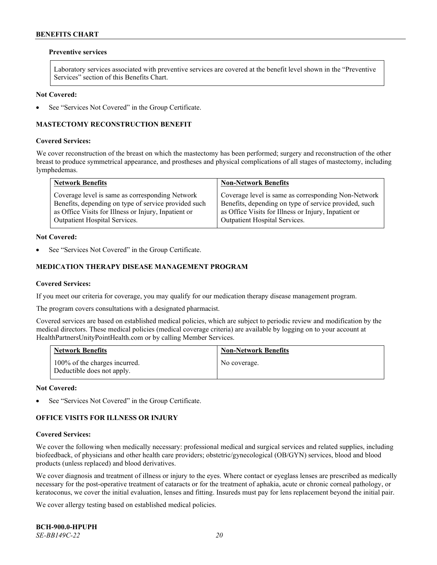### **Preventive services**

Laboratory services associated with preventive services are covered at the benefit level shown in the "Preventive Services" section of this Benefits Chart.

### **Not Covered:**

See "Services Not Covered" in the Group Certificate.

# **MASTECTOMY RECONSTRUCTION BENEFIT**

### **Covered Services:**

We cover reconstruction of the breast on which the mastectomy has been performed; surgery and reconstruction of the other breast to produce symmetrical appearance, and prostheses and physical complications of all stages of mastectomy, including lymphedemas.

| <b>Network Benefits</b>                              | <b>Non-Network Benefits</b>                           |
|------------------------------------------------------|-------------------------------------------------------|
| Coverage level is same as corresponding Network      | Coverage level is same as corresponding Non-Network   |
| Benefits, depending on type of service provided such | Benefits, depending on type of service provided, such |
| as Office Visits for Illness or Injury, Inpatient or | as Office Visits for Illness or Injury, Inpatient or  |
| Outpatient Hospital Services.                        | Outpatient Hospital Services.                         |

### **Not Covered:**

See "Services Not Covered" in the Group Certificate.

# **MEDICATION THERAPY DISEASE MANAGEMENT PROGRAM**

### **Covered Services:**

If you meet our criteria for coverage, you may qualify for our medication therapy disease management program.

The program covers consultations with a designated pharmacist.

Covered services are based on established medical policies, which are subject to periodic review and modification by the medical directors. These medical policies (medical coverage criteria) are available by logging on to your account at [HealthPartnersUnityPointHealth.com](https://www.healthpartnersunitypointhealth.com/) or by calling Member Services.

| <b>Network Benefits</b>                                     | <b>Non-Network Benefits</b> |
|-------------------------------------------------------------|-----------------------------|
| 100% of the charges incurred.<br>Deductible does not apply. | No coverage.                |

**Not Covered:**

See "Services Not Covered" in the Group Certificate.

# **OFFICE VISITS FOR ILLNESS OR INJURY**

#### **Covered Services:**

We cover the following when medically necessary: professional medical and surgical services and related supplies, including biofeedback, of physicians and other health care providers; obstetric/gynecological (OB/GYN) services, blood and blood products (unless replaced) and blood derivatives.

We cover diagnosis and treatment of illness or injury to the eyes. Where contact or eyeglass lenses are prescribed as medically necessary for the post-operative treatment of cataracts or for the treatment of aphakia, acute or chronic corneal pathology, or keratoconus, we cover the initial evaluation, lenses and fitting. Insureds must pay for lens replacement beyond the initial pair.

We cover allergy testing based on established medical policies.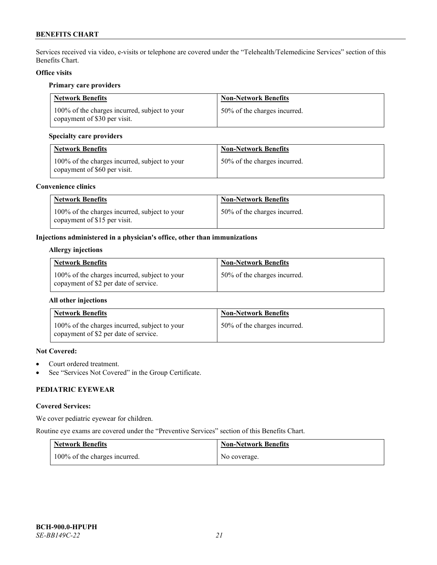Services received via video, e-visits or telephone are covered under the "Telehealth/Telemedicine Services" section of this Benefits Chart.

# **Office visits**

### **Primary care providers**

| <b>Network Benefits</b>                                                       | <b>Non-Network Benefits</b>  |
|-------------------------------------------------------------------------------|------------------------------|
| 100% of the charges incurred, subject to your<br>copayment of \$30 per visit. | 50% of the charges incurred. |

# **Specialty care providers**

| <b>Network Benefits</b>                                                       | <b>Non-Network Benefits</b>  |
|-------------------------------------------------------------------------------|------------------------------|
| 100% of the charges incurred, subject to your<br>copayment of \$60 per visit. | 50% of the charges incurred. |

### **Convenience clinics**

| <b>Network Benefits</b>                                                       | <b>Non-Network Benefits</b>  |
|-------------------------------------------------------------------------------|------------------------------|
| 100% of the charges incurred, subject to your<br>copayment of \$15 per visit. | 50% of the charges incurred. |

# **Injections administered in a physician's office, other than immunizations**

# **Allergy injections**

| <b>Network Benefits</b>                                                                | <b>Non-Network Benefits</b>  |
|----------------------------------------------------------------------------------------|------------------------------|
| 100% of the charges incurred, subject to your<br>copayment of \$2 per date of service. | 50% of the charges incurred. |

# **All other injections**

| <b>Network Benefits</b>                                                                | <b>Non-Network Benefits</b>  |
|----------------------------------------------------------------------------------------|------------------------------|
| 100% of the charges incurred, subject to your<br>copayment of \$2 per date of service. | 50% of the charges incurred. |

# **Not Covered:**

- Court ordered treatment.
- See "Services Not Covered" in the Group Certificate.

# **PEDIATRIC EYEWEAR**

# **Covered Services:**

We cover pediatric eyewear for children.

Routine eye exams are covered under the "Preventive Services" section of this Benefits Chart.

| <b>Network Benefits</b>       | <b>Non-Network Benefits</b> |
|-------------------------------|-----------------------------|
| 100% of the charges incurred. | No coverage.                |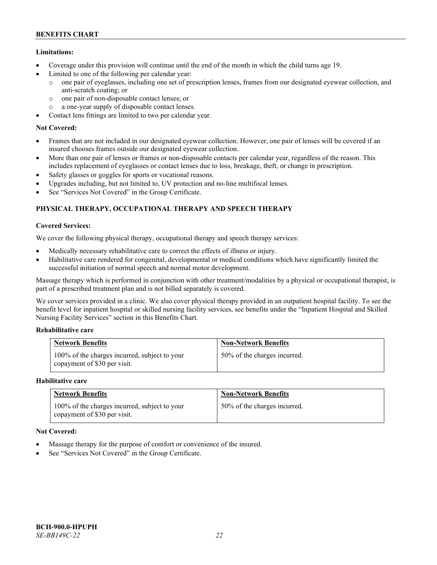# **Limitations:**

- Coverage under this provision will continue until the end of the month in which the child turns age 19.
- Limited to one of the following per calendar year:
	- o one pair of eyeglasses, including one set of prescription lenses, frames from our designated eyewear collection, and anti-scratch coating; or
	- o one pair of non-disposable contact lenses; or
	- o a one-year supply of disposable contact lenses.
- Contact lens fittings are limited to two per calendar year.

# **Not Covered:**

- Frames that are not included in our designated eyewear collection. However, one pair of lenses will be covered if an insured chooses frames outside our designated eyewear collection.
- More than one pair of lenses or frames or non-disposable contacts per calendar year, regardless of the reason. This includes replacement of eyeglasses or contact lenses due to loss, breakage, theft, or change in prescription.
- Safety glasses or goggles for sports or vocational reasons.
- Upgrades including, but not limited to, UV protection and no-line multifocal lenses.
- See "Services Not Covered" in the Group Certificate.

# **PHYSICAL THERAPY, OCCUPATIONAL THERAPY AND SPEECH THERAPY**

# **Covered Services:**

We cover the following physical therapy, occupational therapy and speech therapy services:

- Medically necessary rehabilitative care to correct the effects of illness or injury.
- Habilitative care rendered for congenital, developmental or medical conditions which have significantly limited the successful initiation of normal speech and normal motor development.

Massage therapy which is performed in conjunction with other treatment/modalities by a physical or occupational therapist, is part of a prescribed treatment plan and is not billed separately is covered.

We cover services provided in a clinic. We also cover physical therapy provided in an outpatient hospital facility. To see the benefit level for inpatient hospital or skilled nursing facility services, see benefits under the "Inpatient Hospital and Skilled Nursing Facility Services" section in this Benefits Chart.

# **Rehabilitative care**

| <b>Network Benefits</b>                                                       | <b>Non-Network Benefits</b>  |
|-------------------------------------------------------------------------------|------------------------------|
| 100% of the charges incurred, subject to your<br>copayment of \$30 per visit. | 50% of the charges incurred. |

# **Habilitative care**

| <b>Network Benefits</b>                                                       | <b>Non-Network Benefits</b>  |
|-------------------------------------------------------------------------------|------------------------------|
| 100% of the charges incurred, subject to your<br>copayment of \$30 per visit. | 50% of the charges incurred. |

# **Not Covered:**

- Massage therapy for the purpose of comfort or convenience of the insured.
- See "Services Not Covered" in the Group Certificate.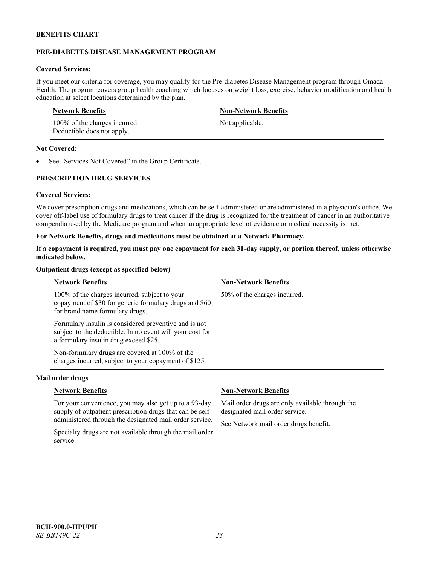# **PRE-DIABETES DISEASE MANAGEMENT PROGRAM**

# **Covered Services:**

If you meet our criteria for coverage, you may qualify for the Pre-diabetes Disease Management program through Omada Health. The program covers group health coaching which focuses on weight loss, exercise, behavior modification and health education at select locations determined by the plan.

| Network Benefits                                            | <b>Non-Network Benefits</b> |
|-------------------------------------------------------------|-----------------------------|
| 100% of the charges incurred.<br>Deductible does not apply. | Not applicable.             |

### **Not Covered:**

• See "Services Not Covered" in the Group Certificate.

# **PRESCRIPTION DRUG SERVICES**

# **Covered Services:**

We cover prescription drugs and medications, which can be self-administered or are administered in a physician's office. We cover off-label use of formulary drugs to treat cancer if the drug is recognized for the treatment of cancer in an authoritative compendia used by the Medicare program and when an appropriate level of evidence or medical necessity is met.

# **For Network Benefits, drugs and medications must be obtained at a Network Pharmacy.**

**If a copayment is required, you must pay one copayment for each 31-day supply, or portion thereof, unless otherwise indicated below.**

### **Outpatient drugs (except as specified below)**

| <b>Network Benefits</b>                                                                                                                                     | <b>Non-Network Benefits</b>  |
|-------------------------------------------------------------------------------------------------------------------------------------------------------------|------------------------------|
| 100% of the charges incurred, subject to your<br>copayment of \$30 for generic formulary drugs and \$60<br>for brand name formulary drugs.                  | 50% of the charges incurred. |
| Formulary insulin is considered preventive and is not<br>subject to the deductible. In no event will your cost for<br>a formulary insulin drug exceed \$25. |                              |
| Non-formulary drugs are covered at 100% of the<br>charges incurred, subject to your copayment of \$125.                                                     |                              |

#### **Mail order drugs**

| <b>Network Benefits</b>                                                                                                                                                                                                                               | <b>Non-Network Benefits</b>                                                                                                |
|-------------------------------------------------------------------------------------------------------------------------------------------------------------------------------------------------------------------------------------------------------|----------------------------------------------------------------------------------------------------------------------------|
| For your convenience, you may also get up to a 93-day<br>supply of outpatient prescription drugs that can be self-<br>administered through the designated mail order service.<br>Specialty drugs are not available through the mail order<br>service. | Mail order drugs are only available through the<br>designated mail order service.<br>See Network mail order drugs benefit. |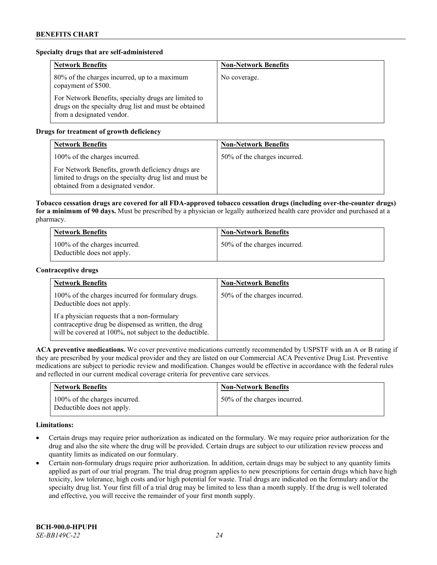### **Specialty drugs that are self-administered**

| <b>Network Benefits</b>                                                                                                                    | <b>Non-Network Benefits</b> |
|--------------------------------------------------------------------------------------------------------------------------------------------|-----------------------------|
| 80% of the charges incurred, up to a maximum<br>copayment of \$500.                                                                        | No coverage.                |
| For Network Benefits, specialty drugs are limited to<br>drugs on the specialty drug list and must be obtained<br>from a designated vendor. |                             |

# **Drugs for treatment of growth deficiency**

| <b>Network Benefits</b>                                                                                                                            | <b>Non-Network Benefits</b>  |
|----------------------------------------------------------------------------------------------------------------------------------------------------|------------------------------|
| 100% of the charges incurred.                                                                                                                      | 50% of the charges incurred. |
| For Network Benefits, growth deficiency drugs are<br>limited to drugs on the specialty drug list and must be<br>obtained from a designated vendor. |                              |

**Tobacco cessation drugs are covered for all FDA-approved tobacco cessation drugs (including over-the-counter drugs) for a minimum of 90 days.** Must be prescribed by a physician or legally authorized health care provider and purchased at a pharmacy.

| <b>Network Benefits</b>                                     | <b>Non-Network Benefits</b>  |
|-------------------------------------------------------------|------------------------------|
| 100% of the charges incurred.<br>Deductible does not apply. | 50% of the charges incurred. |

#### **Contraceptive drugs**

| <b>Network Benefits</b>                                                                                                                                         | <b>Non-Network Benefits</b>  |
|-----------------------------------------------------------------------------------------------------------------------------------------------------------------|------------------------------|
| 100% of the charges incurred for formulary drugs.<br>Deductible does not apply.                                                                                 | 50% of the charges incurred. |
| If a physician requests that a non-formulary<br>contraceptive drug be dispensed as written, the drug<br>will be covered at 100%, not subject to the deductible. |                              |

**ACA preventive medications.** We cover preventive medications currently recommended by USPSTF with an A or B rating if they are prescribed by your medical provider and they are listed on our Commercial ACA Preventive Drug List. Preventive medications are subject to periodic review and modification. Changes would be effective in accordance with the federal rules and reflected in our current medical coverage criteria for preventive care services.

| <b>Network Benefits</b>                                     | <b>Non-Network Benefits</b>  |
|-------------------------------------------------------------|------------------------------|
| 100% of the charges incurred.<br>Deductible does not apply. | 50% of the charges incurred. |

# **Limitations:**

- Certain drugs may require prior authorization as indicated on the formulary. We may require prior authorization for the drug and also the site where the drug will be provided. Certain drugs are subject to our utilization review process and quantity limits as indicated on our formulary.
- Certain non-formulary drugs require prior authorization. In addition, certain drugs may be subject to any quantity limits applied as part of our trial program. The trial drug program applies to new prescriptions for certain drugs which have high toxicity, low tolerance, high costs and/or high potential for waste. Trial drugs are indicated on the formulary and/or the specialty drug list. Your first fill of a trial drug may be limited to less than a month supply. If the drug is well tolerated and effective, you will receive the remainder of your first month supply.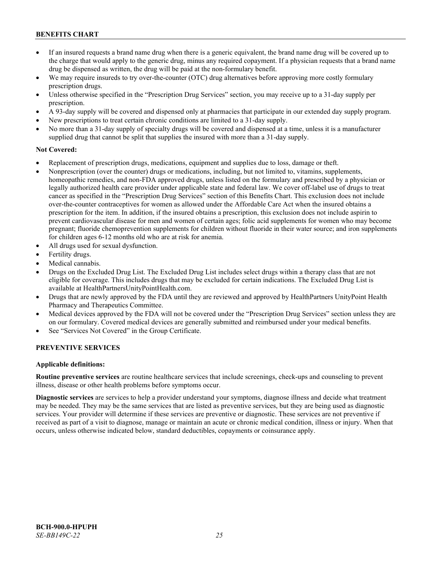- If an insured requests a brand name drug when there is a generic equivalent, the brand name drug will be covered up to the charge that would apply to the generic drug, minus any required copayment. If a physician requests that a brand name drug be dispensed as written, the drug will be paid at the non-formulary benefit.
- We may require insureds to try over-the-counter (OTC) drug alternatives before approving more costly formulary prescription drugs.
- Unless otherwise specified in the "Prescription Drug Services" section, you may receive up to a 31-day supply per prescription.
- A 93-day supply will be covered and dispensed only at pharmacies that participate in our extended day supply program.
- New prescriptions to treat certain chronic conditions are limited to a 31-day supply.
- No more than a 31-day supply of specialty drugs will be covered and dispensed at a time, unless it is a manufacturer supplied drug that cannot be split that supplies the insured with more than a 31-day supply.

### **Not Covered:**

- Replacement of prescription drugs, medications, equipment and supplies due to loss, damage or theft.
- Nonprescription (over the counter) drugs or medications, including, but not limited to, vitamins, supplements, homeopathic remedies, and non-FDA approved drugs, unless listed on the formulary and prescribed by a physician or legally authorized health care provider under applicable state and federal law. We cover off-label use of drugs to treat cancer as specified in the "Prescription Drug Services" section of this Benefits Chart. This exclusion does not include over-the-counter contraceptives for women as allowed under the Affordable Care Act when the insured obtains a prescription for the item. In addition, if the insured obtains a prescription, this exclusion does not include aspirin to prevent cardiovascular disease for men and women of certain ages; folic acid supplements for women who may become pregnant; fluoride chemoprevention supplements for children without fluoride in their water source; and iron supplements for children ages 6-12 months old who are at risk for anemia.
- All drugs used for sexual dysfunction.
- Fertility drugs.
- Medical cannabis.
- Drugs on the Excluded Drug List. The Excluded Drug List includes select drugs within a therapy class that are not eligible for coverage. This includes drugs that may be excluded for certain indications. The Excluded Drug List is available a[t HealthPartnersUnityPointHealth.com.](https://www.healthpartnersunitypointhealth.com/)
- Drugs that are newly approved by the FDA until they are reviewed and approved by HealthPartners UnityPoint Health Pharmacy and Therapeutics Committee.
- Medical devices approved by the FDA will not be covered under the "Prescription Drug Services" section unless they are on our formulary. Covered medical devices are generally submitted and reimbursed under your medical benefits.
- See "Services Not Covered" in the Group Certificate.

# **PREVENTIVE SERVICES**

#### **Applicable definitions:**

**Routine preventive services** are routine healthcare services that include screenings, check-ups and counseling to prevent illness, disease or other health problems before symptoms occur.

**Diagnostic services** are services to help a provider understand your symptoms, diagnose illness and decide what treatment may be needed. They may be the same services that are listed as preventive services, but they are being used as diagnostic services. Your provider will determine if these services are preventive or diagnostic. These services are not preventive if received as part of a visit to diagnose, manage or maintain an acute or chronic medical condition, illness or injury. When that occurs, unless otherwise indicated below, standard deductibles, copayments or coinsurance apply.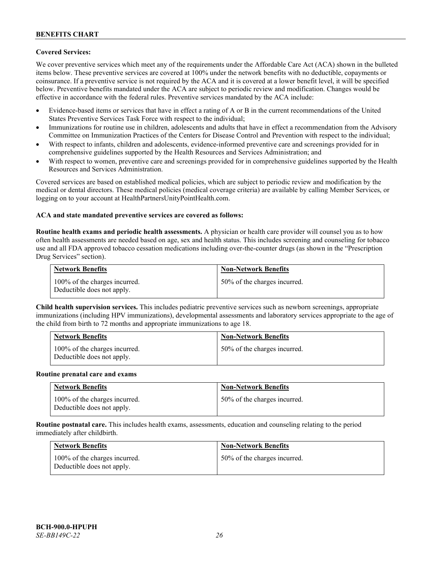# **Covered Services:**

We cover preventive services which meet any of the requirements under the Affordable Care Act (ACA) shown in the bulleted items below. These preventive services are covered at 100% under the network benefits with no deductible, copayments or coinsurance. If a preventive service is not required by the ACA and it is covered at a lower benefit level, it will be specified below. Preventive benefits mandated under the ACA are subject to periodic review and modification. Changes would be effective in accordance with the federal rules. Preventive services mandated by the ACA include:

- Evidence-based items or services that have in effect a rating of A or B in the current recommendations of the United States Preventive Services Task Force with respect to the individual;
- Immunizations for routine use in children, adolescents and adults that have in effect a recommendation from the Advisory Committee on Immunization Practices of the Centers for Disease Control and Prevention with respect to the individual;
- With respect to infants, children and adolescents, evidence-informed preventive care and screenings provided for in comprehensive guidelines supported by the Health Resources and Services Administration; and
- With respect to women, preventive care and screenings provided for in comprehensive guidelines supported by the Health Resources and Services Administration.

Covered services are based on established medical policies, which are subject to periodic review and modification by the medical or dental directors. These medical policies (medical coverage criteria) are available by calling Member Services, or logging on to your account at [HealthPartnersUnityPointHealth.com.](https://www.healthpartnersunitypointhealth.com/)

#### **ACA and state mandated preventive services are covered as follows:**

**Routine health exams and periodic health assessments.** A physician or health care provider will counsel you as to how often health assessments are needed based on age, sex and health status. This includes screening and counseling for tobacco use and all FDA approved tobacco cessation medications including over-the-counter drugs (as shown in the "Prescription Drug Services" section).

| <b>Network Benefits</b>                                     | <b>Non-Network Benefits</b>  |
|-------------------------------------------------------------|------------------------------|
| 100% of the charges incurred.<br>Deductible does not apply. | 50% of the charges incurred. |

**Child health supervision services.** This includes pediatric preventive services such as newborn screenings, appropriate immunizations (including HPV immunizations), developmental assessments and laboratory services appropriate to the age of the child from birth to 72 months and appropriate immunizations to age 18.

| <b>Network Benefits</b>                                     | <b>Non-Network Benefits</b>  |
|-------------------------------------------------------------|------------------------------|
| 100% of the charges incurred.<br>Deductible does not apply. | 50% of the charges incurred. |

#### **Routine prenatal care and exams**

| <b>Network Benefits</b>                                     | <b>Non-Network Benefits</b>  |
|-------------------------------------------------------------|------------------------------|
| 100% of the charges incurred.<br>Deductible does not apply. | 50% of the charges incurred. |

**Routine postnatal care.** This includes health exams, assessments, education and counseling relating to the period immediately after childbirth.

| <b>Network Benefits</b>                                     | <b>Non-Network Benefits</b>  |
|-------------------------------------------------------------|------------------------------|
| 100% of the charges incurred.<br>Deductible does not apply. | 50% of the charges incurred. |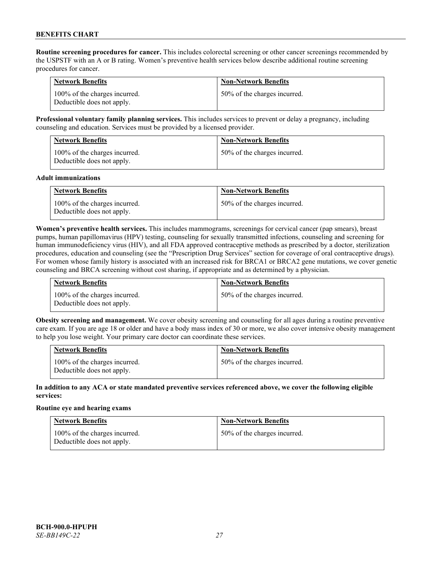**Routine screening procedures for cancer.** This includes colorectal screening or other cancer screenings recommended by the USPSTF with an A or B rating. Women's preventive health services below describe additional routine screening procedures for cancer.

| <b>Network Benefits</b>                                     | <b>Non-Network Benefits</b>  |
|-------------------------------------------------------------|------------------------------|
| 100% of the charges incurred.<br>Deductible does not apply. | 50% of the charges incurred. |

**Professional voluntary family planning services.** This includes services to prevent or delay a pregnancy, including counseling and education. Services must be provided by a licensed provider.

| <b>Network Benefits</b>                                     | <b>Non-Network Benefits</b>  |
|-------------------------------------------------------------|------------------------------|
| 100% of the charges incurred.<br>Deductible does not apply. | 50% of the charges incurred. |

#### **Adult immunizations**

| <b>Network Benefits</b>                                     | <b>Non-Network Benefits</b>  |
|-------------------------------------------------------------|------------------------------|
| 100% of the charges incurred.<br>Deductible does not apply. | 50% of the charges incurred. |

**Women's preventive health services.** This includes mammograms, screenings for cervical cancer (pap smears), breast pumps, human papillomavirus (HPV) testing, counseling for sexually transmitted infections, counseling and screening for human immunodeficiency virus (HIV), and all FDA approved contraceptive methods as prescribed by a doctor, sterilization procedures, education and counseling (see the "Prescription Drug Services" section for coverage of oral contraceptive drugs). For women whose family history is associated with an increased risk for BRCA1 or BRCA2 gene mutations, we cover genetic counseling and BRCA screening without cost sharing, if appropriate and as determined by a physician.

| <b>Network Benefits</b>                                     | <b>Non-Network Benefits</b>  |
|-------------------------------------------------------------|------------------------------|
| 100% of the charges incurred.<br>Deductible does not apply. | 50% of the charges incurred. |

**Obesity screening and management.** We cover obesity screening and counseling for all ages during a routine preventive care exam. If you are age 18 or older and have a body mass index of 30 or more, we also cover intensive obesity management to help you lose weight. Your primary care doctor can coordinate these services.

| <b>Network Benefits</b>                                     | <b>Non-Network Benefits</b>  |
|-------------------------------------------------------------|------------------------------|
| 100% of the charges incurred.<br>Deductible does not apply. | 50% of the charges incurred. |

### **In addition to any ACA or state mandated preventive services referenced above, we cover the following eligible services:**

#### **Routine eye and hearing exams**

| <b>Network Benefits</b>                                     | <b>Non-Network Benefits</b>  |
|-------------------------------------------------------------|------------------------------|
| 100% of the charges incurred.<br>Deductible does not apply. | 50% of the charges incurred. |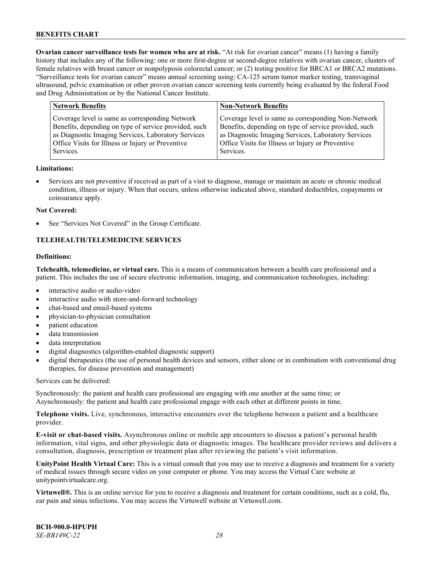**Ovarian cancer surveillance tests for women who are at risk.** "At risk for ovarian cancer" means (1) having a family history that includes any of the following: one or more first-degree or second-degree relatives with ovarian cancer, clusters of female relatives with breast cancer or nonpolyposis colorectal cancer; or (2) testing positive for BRCA1 or BRCA2 mutations. "Surveillance tests for ovarian cancer" means annual screening using: CA-125 serum tumor marker testing, transvaginal ultrasound, pelvic examination or other proven ovarian cancer screening tests currently being evaluated by the federal Food and Drug Administration or by the National Cancer Institute.

| Coverage level is same as corresponding Non-Network<br>Coverage level is same as corresponding Network<br>Benefits, depending on type of service provided, such<br>Benefits, depending on type of service provided, such<br>as Diagnostic Imaging Services, Laboratory Services<br>as Diagnostic Imaging Services, Laboratory Services<br>Office Visits for Illness or Injury or Preventive<br>Office Visits for Illness or Injury or Preventive<br>Services.<br>Services. |  |
|----------------------------------------------------------------------------------------------------------------------------------------------------------------------------------------------------------------------------------------------------------------------------------------------------------------------------------------------------------------------------------------------------------------------------------------------------------------------------|--|

#### **Limitations:**

• Services are not preventive if received as part of a visit to diagnose, manage or maintain an acute or chronic medical condition, illness or injury. When that occurs, unless otherwise indicated above, standard deductibles, copayments or coinsurance apply.

#### **Not Covered:**

See "Services Not Covered" in the Group Certificate.

# **TELEHEALTH/TELEMEDICINE SERVICES**

### **Definitions:**

**Telehealth, telemedicine, or virtual care.** This is a means of communication between a health care professional and a patient. This includes the use of secure electronic information, imaging, and communication technologies, including:

- interactive audio or audio-video
- interactive audio with store-and-forward technology
- chat-based and email-based systems
- physician-to-physician consultation
- patient education
- data transmission
- data interpretation
- digital diagnostics (algorithm-enabled diagnostic support)
- digital therapeutics (the use of personal health devices and sensors, either alone or in combination with conventional drug therapies, for disease prevention and management)

Services can be delivered:

Synchronously: the patient and health care professional are engaging with one another at the same time; or Asynchronously: the patient and health care professional engage with each other at different points in time.

**Telephone visits.** Live, synchronous, interactive encounters over the telephone between a patient and a healthcare provider.

**E-visit or chat-based visits.** Asynchronous online or mobile app encounters to discuss a patient's personal health information, vital signs, and other physiologic data or diagnostic images. The healthcare provider reviews and delivers a consultation, diagnosis, prescription or treatment plan after reviewing the patient's visit information.

**UnityPoint Health Virtual Care:** This is a virtual consult that you may use to receive a diagnosis and treatment for a variety of medical issues through secure video on your computer or phone. You may access the Virtual Care website at [unitypointvirtualcare.org.](https://unitypointvirtualcare.org/landing.htm)

**Virtuwell®.** This is an online service for you to receive a diagnosis and treatment for certain conditions, such as a cold, flu, ear pain and sinus infections. You may access the Virtuwell website at [Virtuwell.com.](https://www.virtuwell.com/)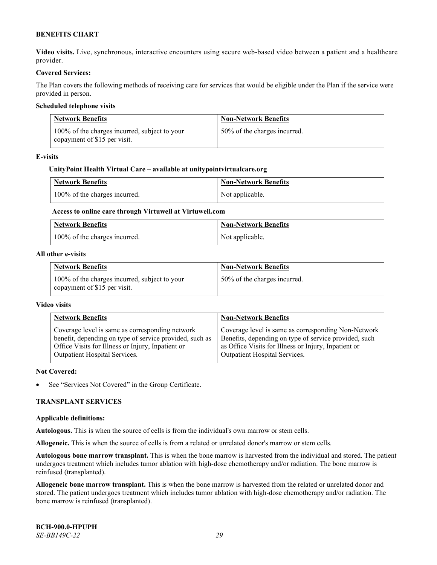**Video visits.** Live, synchronous, interactive encounters using secure web-based video between a patient and a healthcare provider.

### **Covered Services:**

The Plan covers the following methods of receiving care for services that would be eligible under the Plan if the service were provided in person.

### **Scheduled telephone visits**

| <b>Network Benefits</b>                                                       | <b>Non-Network Benefits</b>  |
|-------------------------------------------------------------------------------|------------------------------|
| 100% of the charges incurred, subject to your<br>copayment of \$15 per visit. | 50% of the charges incurred. |

#### **E-visits**

### **UnityPoint Health Virtual Care – available a[t unitypointvirtualcare.org](http://www.unitypointvirtualcare.org/)**

| <b>Network Benefits</b>       | <b>Non-Network Benefits</b> |
|-------------------------------|-----------------------------|
| 100% of the charges incurred. | Not applicable.             |

# **Access to online care through Virtuwell at [Virtuwell.com](http://www.virtuwell.com/)**

| <b>Network Benefits</b>       | <b>Non-Network Benefits</b> |
|-------------------------------|-----------------------------|
| 100% of the charges incurred. | Not applicable.             |

#### **All other e-visits**

| <b>Network Benefits</b>                                                       | <b>Non-Network Benefits</b>  |
|-------------------------------------------------------------------------------|------------------------------|
| 100% of the charges incurred, subject to your<br>copayment of \$15 per visit. | 50% of the charges incurred. |

#### **Video visits**

| <b>Network Benefits</b>                                 | <b>Non-Network Benefits</b>                           |
|---------------------------------------------------------|-------------------------------------------------------|
| Coverage level is same as corresponding network         | Coverage level is same as corresponding Non-Network   |
| benefit, depending on type of service provided, such as | Benefits, depending on type of service provided, such |
| Office Visits for Illness or Injury, Inpatient or       | as Office Visits for Illness or Injury, Inpatient or  |
| Outpatient Hospital Services.                           | Outpatient Hospital Services.                         |

#### **Not Covered:**

See "Services Not Covered" in the Group Certificate.

### **TRANSPLANT SERVICES**

#### **Applicable definitions:**

**Autologous.** This is when the source of cells is from the individual's own marrow or stem cells.

**Allogeneic.** This is when the source of cells is from a related or unrelated donor's marrow or stem cells.

**Autologous bone marrow transplant.** This is when the bone marrow is harvested from the individual and stored. The patient undergoes treatment which includes tumor ablation with high-dose chemotherapy and/or radiation. The bone marrow is reinfused (transplanted).

**Allogeneic bone marrow transplant.** This is when the bone marrow is harvested from the related or unrelated donor and stored. The patient undergoes treatment which includes tumor ablation with high-dose chemotherapy and/or radiation. The bone marrow is reinfused (transplanted).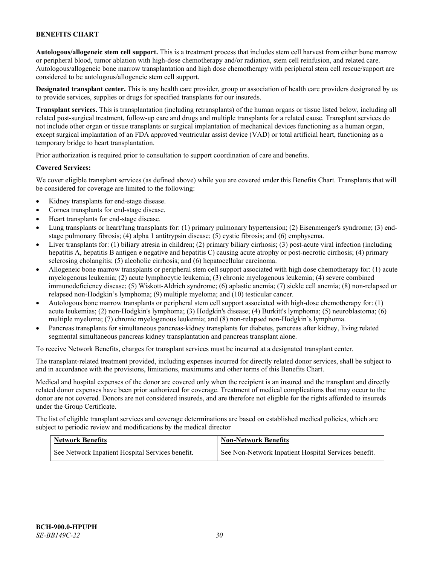**Autologous/allogeneic stem cell support.** This is a treatment process that includes stem cell harvest from either bone marrow or peripheral blood, tumor ablation with high-dose chemotherapy and/or radiation, stem cell reinfusion, and related care. Autologous/allogeneic bone marrow transplantation and high dose chemotherapy with peripheral stem cell rescue/support are considered to be autologous/allogeneic stem cell support.

**Designated transplant center.** This is any health care provider, group or association of health care providers designated by us to provide services, supplies or drugs for specified transplants for our insureds.

**Transplant services.** This is transplantation (including retransplants) of the human organs or tissue listed below, including all related post-surgical treatment, follow-up care and drugs and multiple transplants for a related cause. Transplant services do not include other organ or tissue transplants or surgical implantation of mechanical devices functioning as a human organ, except surgical implantation of an FDA approved ventricular assist device (VAD) or total artificial heart, functioning as a temporary bridge to heart transplantation.

Prior authorization is required prior to consultation to support coordination of care and benefits.

#### **Covered Services:**

We cover eligible transplant services (as defined above) while you are covered under this Benefits Chart. Transplants that will be considered for coverage are limited to the following:

- Kidney transplants for end-stage disease.
- Cornea transplants for end-stage disease.
- Heart transplants for end-stage disease.
- Lung transplants or heart/lung transplants for: (1) primary pulmonary hypertension; (2) Eisenmenger's syndrome; (3) endstage pulmonary fibrosis; (4) alpha 1 antitrypsin disease; (5) cystic fibrosis; and (6) emphysema.
- Liver transplants for: (1) biliary atresia in children; (2) primary biliary cirrhosis; (3) post-acute viral infection (including hepatitis A, hepatitis B antigen e negative and hepatitis C) causing acute atrophy or post-necrotic cirrhosis; (4) primary sclerosing cholangitis; (5) alcoholic cirrhosis; and (6) hepatocellular carcinoma.
- Allogeneic bone marrow transplants or peripheral stem cell support associated with high dose chemotherapy for: (1) acute myelogenous leukemia; (2) acute lymphocytic leukemia; (3) chronic myelogenous leukemia; (4) severe combined immunodeficiency disease; (5) Wiskott-Aldrich syndrome; (6) aplastic anemia; (7) sickle cell anemia; (8) non-relapsed or relapsed non-Hodgkin's lymphoma; (9) multiple myeloma; and (10) testicular cancer.
- Autologous bone marrow transplants or peripheral stem cell support associated with high-dose chemotherapy for: (1) acute leukemias; (2) non-Hodgkin's lymphoma; (3) Hodgkin's disease; (4) Burkitt's lymphoma; (5) neuroblastoma; (6) multiple myeloma; (7) chronic myelogenous leukemia; and (8) non-relapsed non-Hodgkin's lymphoma.
- Pancreas transplants for simultaneous pancreas-kidney transplants for diabetes, pancreas after kidney, living related segmental simultaneous pancreas kidney transplantation and pancreas transplant alone.

To receive Network Benefits, charges for transplant services must be incurred at a designated transplant center.

The transplant-related treatment provided, including expenses incurred for directly related donor services, shall be subject to and in accordance with the provisions, limitations, maximums and other terms of this Benefits Chart.

Medical and hospital expenses of the donor are covered only when the recipient is an insured and the transplant and directly related donor expenses have been prior authorized for coverage. Treatment of medical complications that may occur to the donor are not covered. Donors are not considered insureds, and are therefore not eligible for the rights afforded to insureds under the Group Certificate.

The list of eligible transplant services and coverage determinations are based on established medical policies, which are subject to periodic review and modifications by the medical director

| <b>Network Benefits</b>                          | <b>Non-Network Benefits</b>                          |
|--------------------------------------------------|------------------------------------------------------|
| See Network Inpatient Hospital Services benefit. | See Non-Network Inpatient Hospital Services benefit. |